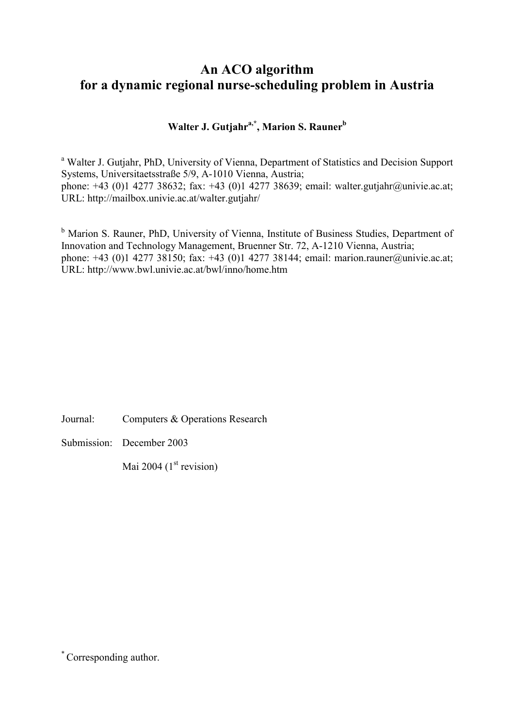# **An ACO algorithm for a dynamic regional nurse-scheduling problem in Austria**

Walter J. Gutjahr<sup>a,\*</sup>, Marion S. Rauner<sup>b</sup>

<sup>a</sup> Walter J. Gutjahr, PhD, University of Vienna, Department of Statistics and Decision Support Systems, Universitaetsstraße 5/9, A-1010 Vienna, Austria; phone: +43 (0)1 4277 38632; fax: +43 (0)1 4277 38639; email: walter.gutjahr@univie.ac.at; URL: http://mailbox.univie.ac.at/walter.gutjahr/

<sup>b</sup> Marion S. Rauner, PhD, University of Vienna, Institute of Business Studies, Department of Innovation and Technology Management, Bruenner Str. 72, A-1210 Vienna, Austria; phone: +43 (0)1 4277 38150; fax: +43 (0)1 4277 38144; email: marion.rauner@univie.ac.at; URL: http://www.bwl.univie.ac.at/bwl/inno/home.htm

Journal: Computers & Operations Research

Submission: December 2003

Mai 2004 ( $1<sup>st</sup>$  revision)

\* Corresponding author.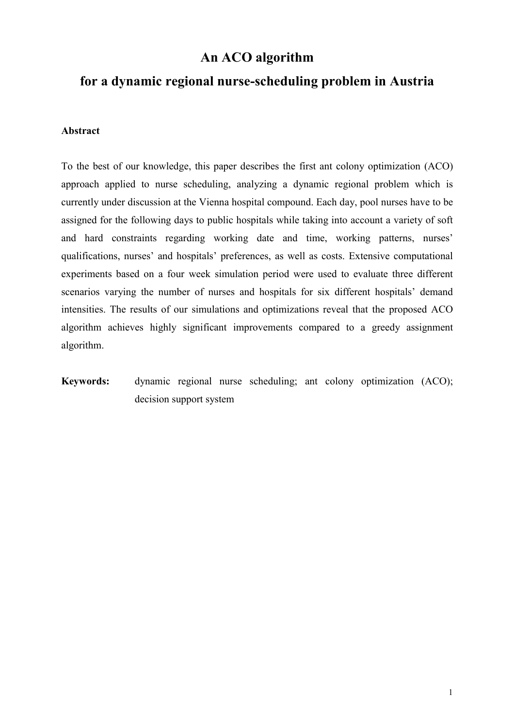# **An ACO algorithm**

# **for a dynamic regional nurse-scheduling problem in Austria**

#### **Abstract**

To the best of our knowledge, this paper describes the first ant colony optimization (ACO) approach applied to nurse scheduling, analyzing a dynamic regional problem which is currently under discussion at the Vienna hospital compound. Each day, pool nurses have to be assigned for the following days to public hospitals while taking into account a variety of soft and hard constraints regarding working date and time, working patterns, nurses' qualifications, nurses' and hospitals' preferences, as well as costs. Extensive computational experiments based on a four week simulation period were used to evaluate three different scenarios varying the number of nurses and hospitals for six different hospitals' demand intensities. The results of our simulations and optimizations reveal that the proposed ACO algorithm achieves highly significant improvements compared to a greedy assignment algorithm.

**Keywords:** dynamic regional nurse scheduling; ant colony optimization (ACO); decision support system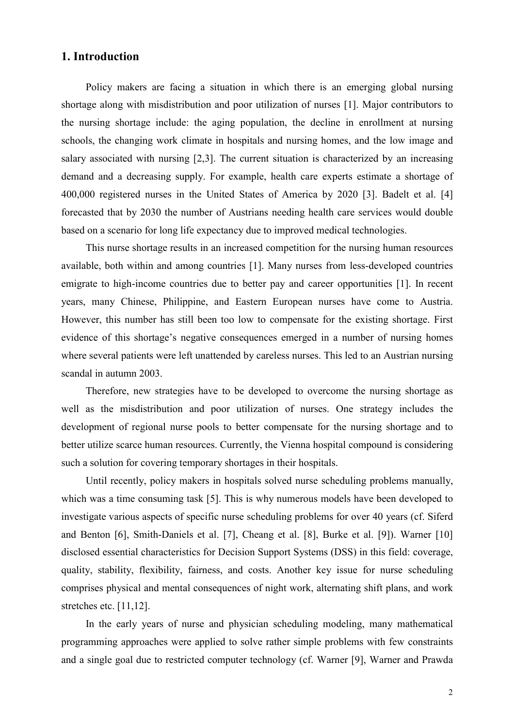# **1. Introduction**

Policy makers are facing a situation in which there is an emerging global nursing shortage along with misdistribution and poor utilization of nurses [1]. Major contributors to the nursing shortage include: the aging population, the decline in enrollment at nursing schools, the changing work climate in hospitals and nursing homes, and the low image and salary associated with nursing [2,3]. The current situation is characterized by an increasing demand and a decreasing supply. For example, health care experts estimate a shortage of 400,000 registered nurses in the United States of America by 2020 [3]. Badelt et al. [4] forecasted that by 2030 the number of Austrians needing health care services would double based on a scenario for long life expectancy due to improved medical technologies.

This nurse shortage results in an increased competition for the nursing human resources available, both within and among countries [1]. Many nurses from less-developed countries emigrate to high-income countries due to better pay and career opportunities [1]. In recent years, many Chinese, Philippine, and Eastern European nurses have come to Austria. However, this number has still been too low to compensate for the existing shortage. First evidence of this shortage's negative consequences emerged in a number of nursing homes where several patients were left unattended by careless nurses. This led to an Austrian nursing scandal in autumn 2003.

Therefore, new strategies have to be developed to overcome the nursing shortage as well as the misdistribution and poor utilization of nurses. One strategy includes the development of regional nurse pools to better compensate for the nursing shortage and to better utilize scarce human resources. Currently, the Vienna hospital compound is considering such a solution for covering temporary shortages in their hospitals.

Until recently, policy makers in hospitals solved nurse scheduling problems manually, which was a time consuming task [5]. This is why numerous models have been developed to investigate various aspects of specific nurse scheduling problems for over 40 years (cf. Siferd and Benton [6], Smith-Daniels et al. [7], Cheang et al. [8], Burke et al. [9]). Warner [10] disclosed essential characteristics for Decision Support Systems (DSS) in this field: coverage, quality, stability, flexibility, fairness, and costs. Another key issue for nurse scheduling comprises physical and mental consequences of night work, alternating shift plans, and work stretches etc. [11,12].

In the early years of nurse and physician scheduling modeling, many mathematical programming approaches were applied to solve rather simple problems with few constraints and a single goal due to restricted computer technology (cf. Warner [9], Warner and Prawda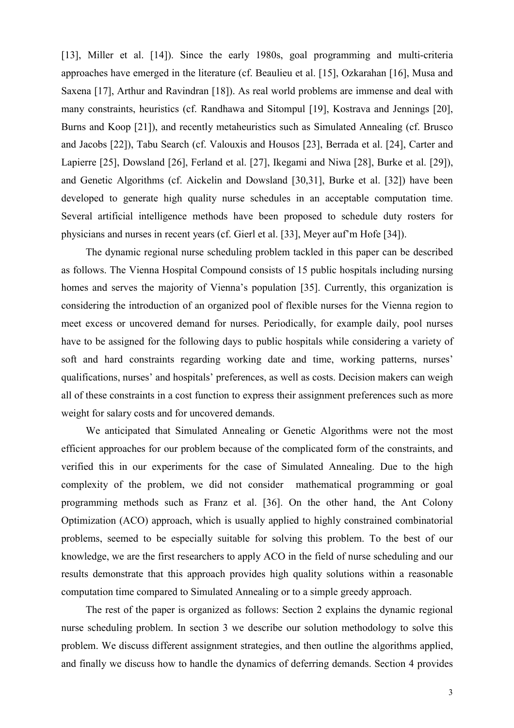[13], Miller et al. [14]). Since the early 1980s, goal programming and multi-criteria approaches have emerged in the literature (cf. Beaulieu et al. [15], Ozkarahan [16], Musa and Saxena [17], Arthur and Ravindran [18]). As real world problems are immense and deal with many constraints, heuristics (cf. Randhawa and Sitompul [19], Kostrava and Jennings [20], Burns and Koop [21]), and recently metaheuristics such as Simulated Annealing (cf. Brusco and Jacobs [22]), Tabu Search (cf. Valouxis and Housos [23], Berrada et al. [24], Carter and Lapierre [25], Dowsland [26], Ferland et al. [27], Ikegami and Niwa [28], Burke et al. [29]), and Genetic Algorithms (cf. Aickelin and Dowsland [30,31], Burke et al. [32]) have been developed to generate high quality nurse schedules in an acceptable computation time. Several artificial intelligence methods have been proposed to schedule duty rosters for physicians and nurses in recent years (cf. Gierl et al. [33], Meyer auf'm Hofe [34]).

The dynamic regional nurse scheduling problem tackled in this paper can be described as follows. The Vienna Hospital Compound consists of 15 public hospitals including nursing homes and serves the majority of Vienna's population [35]. Currently, this organization is considering the introduction of an organized pool of flexible nurses for the Vienna region to meet excess or uncovered demand for nurses. Periodically, for example daily, pool nurses have to be assigned for the following days to public hospitals while considering a variety of soft and hard constraints regarding working date and time, working patterns, nurses' qualifications, nurses' and hospitals' preferences, as well as costs. Decision makers can weigh all of these constraints in a cost function to express their assignment preferences such as more weight for salary costs and for uncovered demands.

We anticipated that Simulated Annealing or Genetic Algorithms were not the most efficient approaches for our problem because of the complicated form of the constraints, and verified this in our experiments for the case of Simulated Annealing. Due to the high complexity of the problem, we did not consider mathematical programming or goal programming methods such as Franz et al. [36]. On the other hand, the Ant Colony Optimization (ACO) approach, which is usually applied to highly constrained combinatorial problems, seemed to be especially suitable for solving this problem. To the best of our knowledge, we are the first researchers to apply ACO in the field of nurse scheduling and our results demonstrate that this approach provides high quality solutions within a reasonable computation time compared to Simulated Annealing or to a simple greedy approach.

The rest of the paper is organized as follows: Section 2 explains the dynamic regional nurse scheduling problem. In section 3 we describe our solution methodology to solve this problem. We discuss different assignment strategies, and then outline the algorithms applied, and finally we discuss how to handle the dynamics of deferring demands. Section 4 provides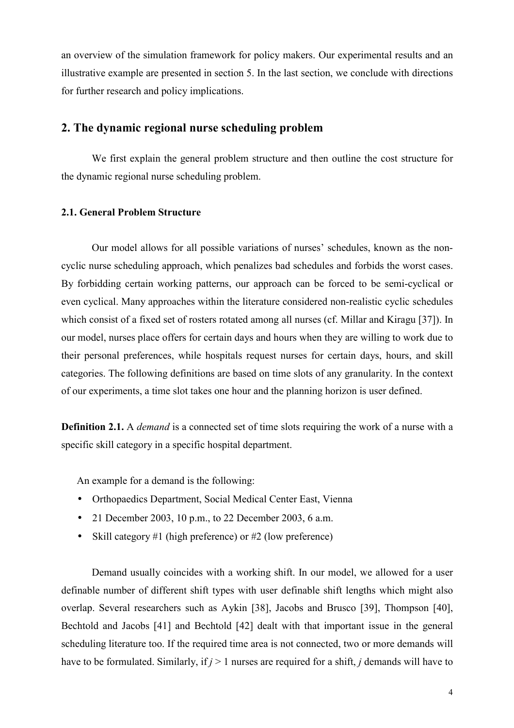an overview of the simulation framework for policy makers. Our experimental results and an illustrative example are presented in section 5. In the last section, we conclude with directions for further research and policy implications.

# **2. The dynamic regional nurse scheduling problem**

We first explain the general problem structure and then outline the cost structure for the dynamic regional nurse scheduling problem.

## **2.1. General Problem Structure**

Our model allows for all possible variations of nurses' schedules, known as the noncyclic nurse scheduling approach, which penalizes bad schedules and forbids the worst cases. By forbidding certain working patterns, our approach can be forced to be semi-cyclical or even cyclical. Many approaches within the literature considered non-realistic cyclic schedules which consist of a fixed set of rosters rotated among all nurses (cf. Millar and Kiragu [37]). In our model, nurses place offers for certain days and hours when they are willing to work due to their personal preferences, while hospitals request nurses for certain days, hours, and skill categories. The following definitions are based on time slots of any granularity. In the context of our experiments, a time slot takes one hour and the planning horizon is user defined.

**Definition 2.1.** A *demand* is a connected set of time slots requiring the work of a nurse with a specific skill category in a specific hospital department.

An example for a demand is the following:

- Orthopaedics Department, Social Medical Center East, Vienna
- 21 December 2003, 10 p.m., to 22 December 2003, 6 a.m.
- Skill category #1 (high preference) or #2 (low preference)

Demand usually coincides with a working shift. In our model, we allowed for a user definable number of different shift types with user definable shift lengths which might also overlap. Several researchers such as Aykin [38], Jacobs and Brusco [39], Thompson [40], Bechtold and Jacobs [41] and Bechtold [42] dealt with that important issue in the general scheduling literature too. If the required time area is not connected, two or more demands will have to be formulated. Similarly, if  $j > 1$  nurses are required for a shift, *j* demands will have to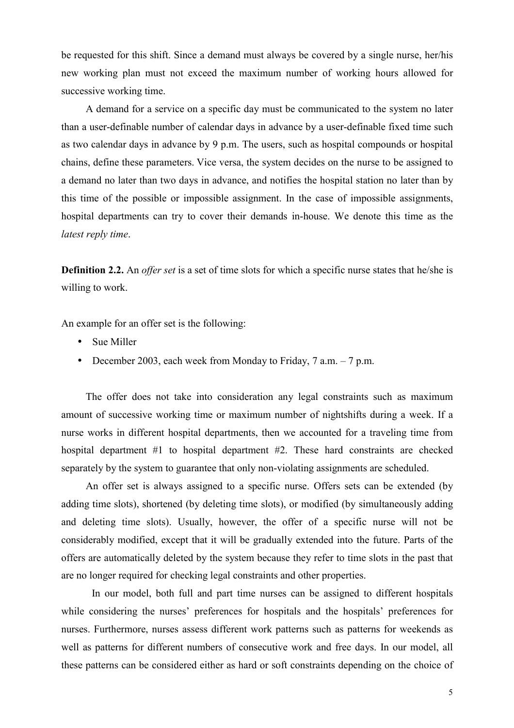be requested for this shift. Since a demand must always be covered by a single nurse, her/his new working plan must not exceed the maximum number of working hours allowed for successive working time.

A demand for a service on a specific day must be communicated to the system no later than a user-definable number of calendar days in advance by a user-definable fixed time such as two calendar days in advance by 9 p.m. The users, such as hospital compounds or hospital chains, define these parameters. Vice versa, the system decides on the nurse to be assigned to a demand no later than two days in advance, and notifies the hospital station no later than by this time of the possible or impossible assignment. In the case of impossible assignments, hospital departments can try to cover their demands in-house. We denote this time as the *latest reply time*.

**Definition 2.2.** An *offer set* is a set of time slots for which a specific nurse states that he/she is willing to work.

An example for an offer set is the following:

- Sue Miller
- December 2003, each week from Monday to Friday,  $7$  a.m.  $-7$  p.m.

The offer does not take into consideration any legal constraints such as maximum amount of successive working time or maximum number of nightshifts during a week. If a nurse works in different hospital departments, then we accounted for a traveling time from hospital department #1 to hospital department #2. These hard constraints are checked separately by the system to guarantee that only non-violating assignments are scheduled.

An offer set is always assigned to a specific nurse. Offers sets can be extended (by adding time slots), shortened (by deleting time slots), or modified (by simultaneously adding and deleting time slots). Usually, however, the offer of a specific nurse will not be considerably modified, except that it will be gradually extended into the future. Parts of the offers are automatically deleted by the system because they refer to time slots in the past that are no longer required for checking legal constraints and other properties.

In our model, both full and part time nurses can be assigned to different hospitals while considering the nurses' preferences for hospitals and the hospitals' preferences for nurses. Furthermore, nurses assess different work patterns such as patterns for weekends as well as patterns for different numbers of consecutive work and free days. In our model, all these patterns can be considered either as hard or soft constraints depending on the choice of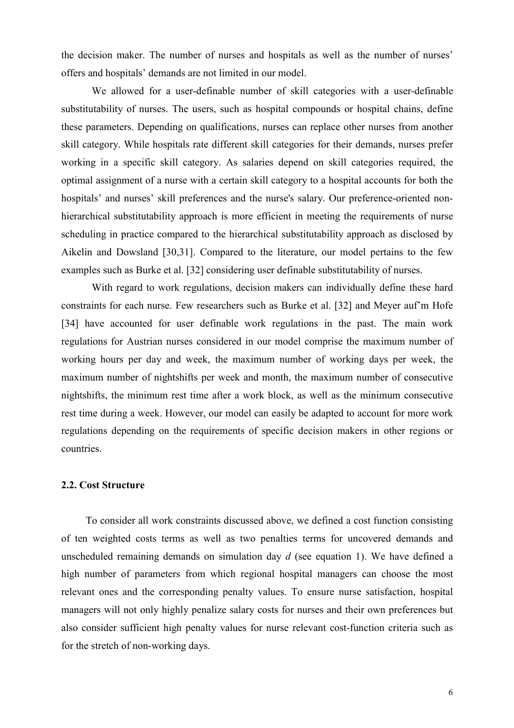the decision maker. The number of nurses and hospitals as well as the number of nurses' offers and hospitals' demands are not limited in our model.

We allowed for a user-definable number of skill categories with a user-definable substitutability of nurses. The users, such as hospital compounds or hospital chains, define these parameters. Depending on qualifications, nurses can replace other nurses from another skill category. While hospitals rate different skill categories for their demands, nurses prefer working in a specific skill category. As salaries depend on skill categories required, the optimal assignment of a nurse with a certain skill category to a hospital accounts for both the hospitals' and nurses' skill preferences and the nurse's salary. Our preference-oriented nonhierarchical substitutability approach is more efficient in meeting the requirements of nurse scheduling in practice compared to the hierarchical substitutability approach as disclosed by Aikelin and Dowsland [30,31]. Compared to the literature, our model pertains to the few examples such as Burke et al. [32] considering user definable substitutability of nurses.

With regard to work regulations, decision makers can individually define these hard constraints for each nurse. Few researchers such as Burke et al. [32] and Meyer auf'm Hofe [34] have accounted for user definable work regulations in the past. The main work regulations for Austrian nurses considered in our model comprise the maximum number of working hours per day and week, the maximum number of working days per week, the maximum number of nightshifts per week and month, the maximum number of consecutive nightshifts, the minimum rest time after a work block, as well as the minimum consecutive rest time during a week. However, our model can easily be adapted to account for more work regulations depending on the requirements of specific decision makers in other regions or countries.

#### **2.2. Cost Structure**

To consider all work constraints discussed above, we defined a cost function consisting of ten weighted costs terms as well as two penalties terms for uncovered demands and unscheduled remaining demands on simulation day *d* (see equation 1). We have defined a high number of parameters from which regional hospital managers can choose the most relevant ones and the corresponding penalty values. To ensure nurse satisfaction, hospital managers will not only highly penalize salary costs for nurses and their own preferences but also consider sufficient high penalty values for nurse relevant cost-function criteria such as for the stretch of non-working days.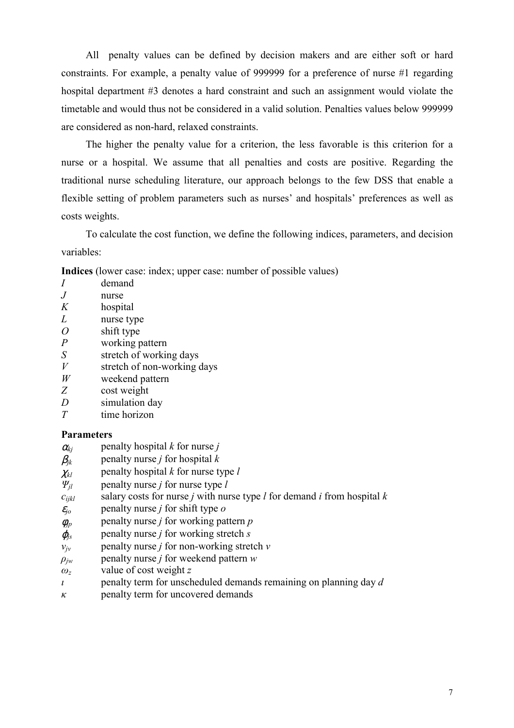All penalty values can be defined by decision makers and are either soft or hard constraints. For example, a penalty value of 999999 for a preference of nurse #1 regarding hospital department #3 denotes a hard constraint and such an assignment would violate the timetable and would thus not be considered in a valid solution. Penalties values below 999999 are considered as non-hard, relaxed constraints.

The higher the penalty value for a criterion, the less favorable is this criterion for a nurse or a hospital. We assume that all penalties and costs are positive. Regarding the traditional nurse scheduling literature, our approach belongs to the few DSS that enable a flexible setting of problem parameters such as nurses' and hospitals' preferences as well as costs weights.

To calculate the cost function, we define the following indices, parameters, and decision variables:

**Indices** (lower case: index; upper case: number of possible values)

- *I* demand *J* nurse *K* hospital *L* nurse type *O* shift type *P* working pattern *S* stretch of working days *V* stretch of non-working days
- *W* weekend pattern
- *Z* cost weight
- *D* simulation day
- *T* time horizon

## **Parameters**

- $\alpha_{ki}$  penalty hospital *k* for nurse *j*
- $\beta_{ik}$  penalty nurse *j* for hospital *k*
- $\chi_{kl}$  penalty hospital *k* for nurse type *l*
- *Ψjl* penalty nurse *j* for nurse type *l*
- *cijkl* salary costs for nurse *j* with nurse type *l* for demand *i* from hospital *k*
- $\epsilon_{j_0}$  penalty nurse *j* for shift type *o*
- $\phi_{jp}$  penalty nurse *j* for working pattern *p*
- $\varphi$ <sub>*is*</sub> penalty nurse *j* for working stretch *s*
- $v_{j}$  penalty nurse *j* for non-working stretch *v*
- $\rho_{jw}$  penalty nurse *j* for weekend pattern *w*
- *ω<sup>z</sup>* value of cost weight *z*
- *ι* penalty term for unscheduled demands remaining on planning day *d*
- *κ* penalty term for uncovered demands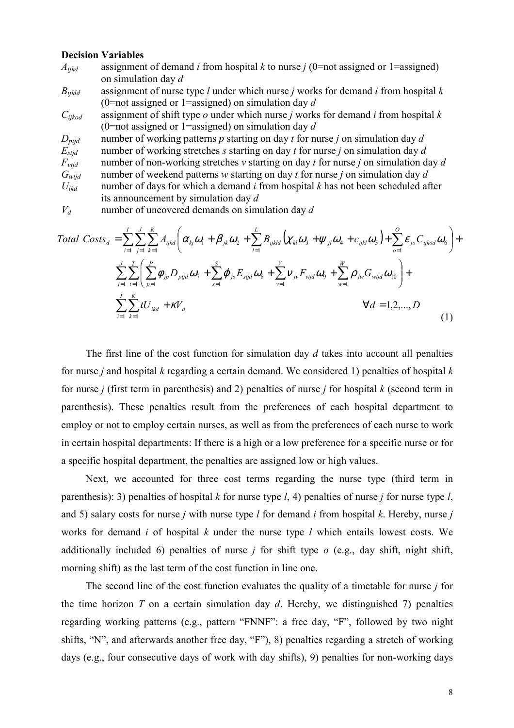### **Decision Variables**

*Aijkd* assignment of demand *i* from hospital *k* to nurse *j* (0=not assigned or 1=assigned) on simulation day *d*

*Bijkld* assignment of nurse type *l* under which nurse *j* works for demand *i* from hospital *k* (0=not assigned or 1=assigned) on simulation day *d*

*Cijkod* assignment of shift type *o* under which nurse *j* works for demand *i* from hospital *k* (0=not assigned or 1=assigned) on simulation day *d*

 $D_{\text{ptid}}$  number of working patterns *p* starting on day *t* for nurse *j* on simulation day *d*  $\vec{E}_{\text{stid}}$  number of working stretches *s* starting on day *t* for nurse *j* on simulation day *d*  $F_{\text{vtid}}$  number of non-working stretches *v* starting on day *t* for nurse *j* on simulation day *d Gwtjd* number of weekend patterns *w* starting on day *t* for nurse *j* on simulation day *d*  $U_{ikd}$  number of days for which a demand *i* from hospital *k* has not been scheduled after its announcement by simulation day *d*

 $V_d$  number of uncovered demands on simulation day  $d$ 

Total Costs<sub>d</sub> = 
$$
\sum_{i=1}^{I} \sum_{j=1}^{J} \sum_{k=1}^{K} A_{ijkl} \left( \alpha_{kj} \omega_1 + \beta_{jk} \omega_2 + \sum_{l=1}^{L} B_{ijkl} \left( \chi_{kl} \omega_3 + \psi_{jl} \omega_4 + c_{ijkl} \omega_5 \right) + \sum_{o=1}^{O} \varepsilon_{jo} C_{ijkod} \omega_6 \right) +
$$
  

$$
\sum_{j=1}^{J} \sum_{t=1}^{T} \left( \sum_{p=1}^{P} \phi_{jp} D_{pjd} \omega_7 + \sum_{s=1}^{S} \phi_{js} E_{sijd} \omega_8 + \sum_{v=1}^{V} V_{jv} F_{vijd} \omega_9 + \sum_{w=1}^{W} \rho_{jw} G_{wijd} \omega_{10} \right) +
$$
  

$$
\sum_{i=1}^{I} \sum_{k=1}^{K} i U_{ikd} + \kappa V_d
$$
  
(1)

The first line of the cost function for simulation day *d* takes into account all penalties for nurse *j* and hospital *k* regarding a certain demand. We considered 1) penalties of hospital *k* for nurse *j* (first term in parenthesis) and 2) penalties of nurse *j* for hospital *k* (second term in parenthesis). These penalties result from the preferences of each hospital department to employ or not to employ certain nurses, as well as from the preferences of each nurse to work in certain hospital departments: If there is a high or a low preference for a specific nurse or for a specific hospital department, the penalties are assigned low or high values.

Next, we accounted for three cost terms regarding the nurse type (third term in parenthesis): 3) penalties of hospital *k* for nurse type *l*, 4) penalties of nurse *j* for nurse type *l*, and 5) salary costs for nurse *j* with nurse type *l* for demand *i* from hospital *k*. Hereby, nurse *j* works for demand *i* of hospital *k* under the nurse type *l* which entails lowest costs. We additionally included 6) penalties of nurse *j* for shift type *o* (e.g., day shift, night shift, morning shift) as the last term of the cost function in line one.

The second line of the cost function evaluates the quality of a timetable for nurse *j* for the time horizon *T* on a certain simulation day *d*. Hereby, we distinguished 7) penalties regarding working patterns (e.g., pattern "FNNF": a free day, "F", followed by two night shifts, "N", and afterwards another free day, "F"), 8) penalties regarding a stretch of working days (e.g., four consecutive days of work with day shifts), 9) penalties for non-working days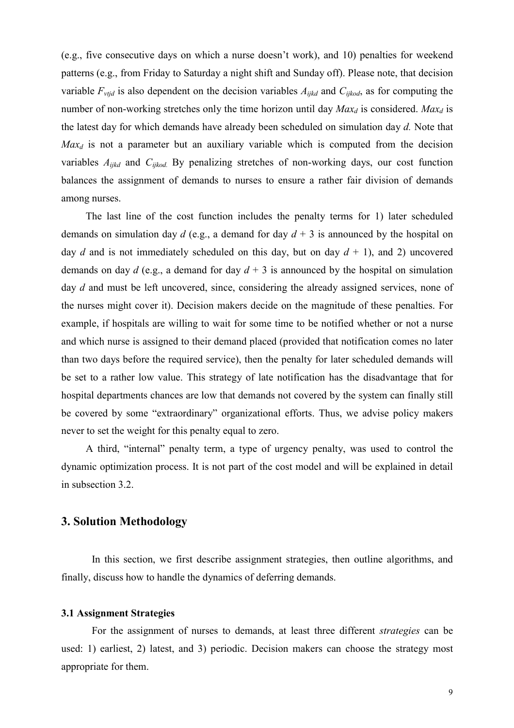(e.g., five consecutive days on which a nurse doesn't work), and 10) penalties for weekend patterns (e.g., from Friday to Saturday a night shift and Sunday off). Please note, that decision variable  $F_{\text{vtid}}$  is also dependent on the decision variables  $A_{\text{tikd}}$  and  $C_{\text{tikod}}$ , as for computing the number of non-working stretches only the time horizon until day  $Max_d$  is considered.  $Max_d$  is the latest day for which demands have already been scheduled on simulation day *d.* Note that  $Max<sub>d</sub>$  is not a parameter but an auxiliary variable which is computed from the decision variables *Aijkd* and *Cijkod.* By penalizing stretches of non-working days, our cost function balances the assignment of demands to nurses to ensure a rather fair division of demands among nurses.

The last line of the cost function includes the penalty terms for 1) later scheduled demands on simulation day *d* (e.g., a demand for day  $d + 3$  is announced by the hospital on day *d* and is not immediately scheduled on this day, but on day  $d + 1$ ), and 2) uncovered demands on day  $d$  (e.g., a demand for day  $d + 3$  is announced by the hospital on simulation day *d* and must be left uncovered, since, considering the already assigned services, none of the nurses might cover it). Decision makers decide on the magnitude of these penalties. For example, if hospitals are willing to wait for some time to be notified whether or not a nurse and which nurse is assigned to their demand placed (provided that notification comes no later than two days before the required service), then the penalty for later scheduled demands will be set to a rather low value. This strategy of late notification has the disadvantage that for hospital departments chances are low that demands not covered by the system can finally still be covered by some "extraordinary" organizational efforts. Thus, we advise policy makers never to set the weight for this penalty equal to zero.

A third, "internal" penalty term, a type of urgency penalty, was used to control the dynamic optimization process. It is not part of the cost model and will be explained in detail in subsection 3.2.

## **3. Solution Methodology**

In this section, we first describe assignment strategies, then outline algorithms, and finally, discuss how to handle the dynamics of deferring demands.

#### **3.1 Assignment Strategies**

For the assignment of nurses to demands, at least three different *strategies* can be used: 1) earliest, 2) latest, and 3) periodic. Decision makers can choose the strategy most appropriate for them.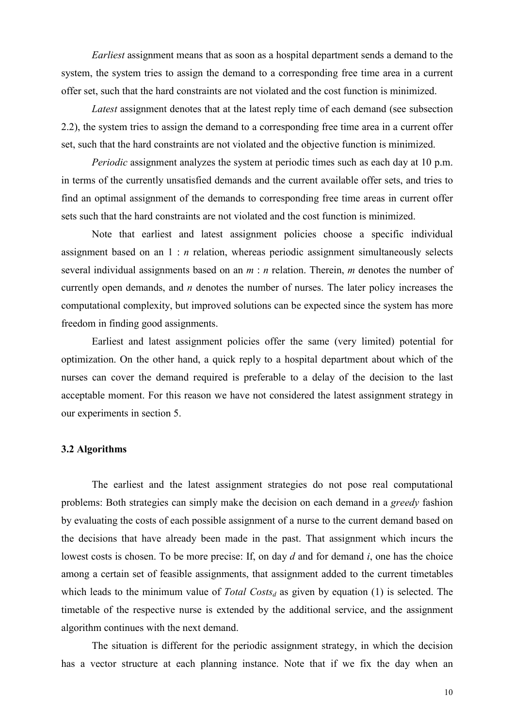*Earliest* assignment means that as soon as a hospital department sends a demand to the system, the system tries to assign the demand to a corresponding free time area in a current offer set, such that the hard constraints are not violated and the cost function is minimized.

*Latest* assignment denotes that at the latest reply time of each demand (see subsection 2.2), the system tries to assign the demand to a corresponding free time area in a current offer set, such that the hard constraints are not violated and the objective function is minimized.

*Periodic* assignment analyzes the system at periodic times such as each day at 10 p.m. in terms of the currently unsatisfied demands and the current available offer sets, and tries to find an optimal assignment of the demands to corresponding free time areas in current offer sets such that the hard constraints are not violated and the cost function is minimized.

Note that earliest and latest assignment policies choose a specific individual assignment based on an 1 : *n* relation, whereas periodic assignment simultaneously selects several individual assignments based on an *m* : *n* relation. Therein, *m* denotes the number of currently open demands, and *n* denotes the number of nurses. The later policy increases the computational complexity, but improved solutions can be expected since the system has more freedom in finding good assignments.

Earliest and latest assignment policies offer the same (very limited) potential for optimization. On the other hand, a quick reply to a hospital department about which of the nurses can cover the demand required is preferable to a delay of the decision to the last acceptable moment. For this reason we have not considered the latest assignment strategy in our experiments in section 5.

### **3.2 Algorithms**

The earliest and the latest assignment strategies do not pose real computational problems: Both strategies can simply make the decision on each demand in a *greedy* fashion by evaluating the costs of each possible assignment of a nurse to the current demand based on the decisions that have already been made in the past. That assignment which incurs the lowest costs is chosen. To be more precise: If, on day *d* and for demand *i*, one has the choice among a certain set of feasible assignments, that assignment added to the current timetables which leads to the minimum value of *Total Costs<sub>d</sub>* as given by equation (1) is selected. The timetable of the respective nurse is extended by the additional service, and the assignment algorithm continues with the next demand.

The situation is different for the periodic assignment strategy, in which the decision has a vector structure at each planning instance. Note that if we fix the day when an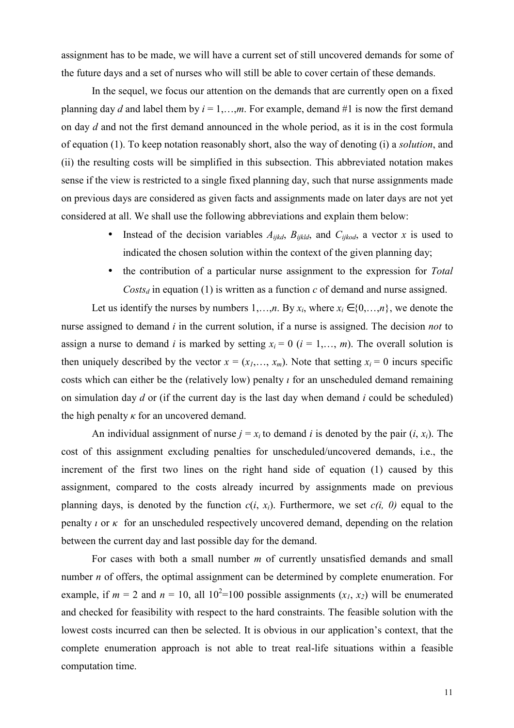assignment has to be made, we will have a current set of still uncovered demands for some of the future days and a set of nurses who will still be able to cover certain of these demands.

In the sequel, we focus our attention on the demands that are currently open on a fixed planning day *d* and label them by  $i = 1, \ldots, m$ . For example, demand #1 is now the first demand on day *d* and not the first demand announced in the whole period, as it is in the cost formula of equation (1). To keep notation reasonably short, also the way of denoting (i) a *solution*, and (ii) the resulting costs will be simplified in this subsection. This abbreviated notation makes sense if the view is restricted to a single fixed planning day, such that nurse assignments made on previous days are considered as given facts and assignments made on later days are not yet considered at all. We shall use the following abbreviations and explain them below:

- Instead of the decision variables  $A_{ijkl}$ ,  $B_{ijkld}$ , and  $C_{ijkod}$ , a vector *x* is used to indicated the chosen solution within the context of the given planning day;
- the contribution of a particular nurse assignment to the expression for *Total*  $Costs_d$  in equation (1) is written as a function *c* of demand and nurse assigned.

Let us identify the nurses by numbers  $1, \ldots, n$ . By  $x_i$ , where  $x_i \in \{0, \ldots, n\}$ , we denote the nurse assigned to demand *i* in the current solution, if a nurse is assigned. The decision *not* to assign a nurse to demand *i* is marked by setting  $x_i = 0$  ( $i = 1,..., m$ ). The overall solution is then uniquely described by the vector  $x = (x_1, \ldots, x_m)$ . Note that setting  $x_i = 0$  incurs specific costs which can either be the (relatively low) penalty *ι* for an unscheduled demand remaining on simulation day *d* or (if the current day is the last day when demand *i* could be scheduled) the high penalty  $\kappa$  for an uncovered demand.

An individual assignment of nurse  $j = x_i$  to demand *i* is denoted by the pair  $(i, x_i)$ . The cost of this assignment excluding penalties for unscheduled/uncovered demands, i.e., the increment of the first two lines on the right hand side of equation (1) caused by this assignment, compared to the costs already incurred by assignments made on previous planning days, is denoted by the function  $c(i, x_i)$ . Furthermore, we set  $c(i, 0)$  equal to the penalty *ι* or *κ* for an unscheduled respectively uncovered demand, depending on the relation between the current day and last possible day for the demand.

For cases with both a small number *m* of currently unsatisfied demands and small number *n* of offers, the optimal assignment can be determined by complete enumeration. For example, if  $m = 2$  and  $n = 10$ , all  $10^2 = 100$  possible assignments  $(x_1, x_2)$  will be enumerated and checked for feasibility with respect to the hard constraints. The feasible solution with the lowest costs incurred can then be selected. It is obvious in our application's context, that the complete enumeration approach is not able to treat real-life situations within a feasible computation time.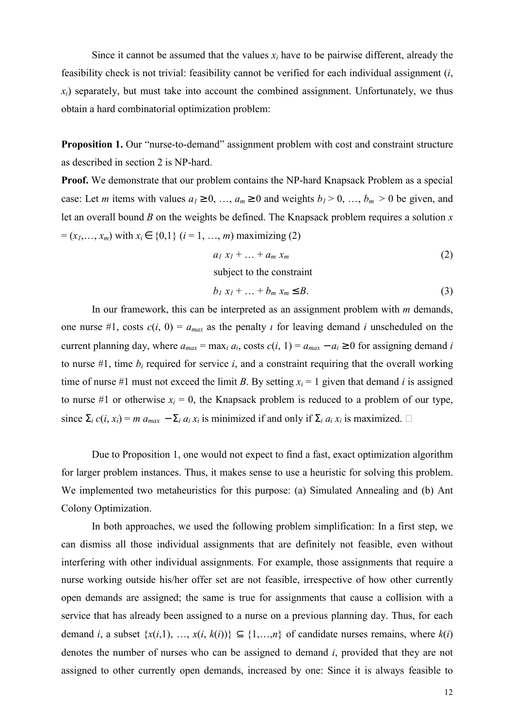Since it cannot be assumed that the values  $x_i$  have to be pairwise different, already the feasibility check is not trivial: feasibility cannot be verified for each individual assignment (*i*,  $x<sub>i</sub>$ ) separately, but must take into account the combined assignment. Unfortunately, we thus obtain a hard combinatorial optimization problem:

**Proposition 1.** Our "nurse-to-demand" assignment problem with cost and constraint structure as described in section 2 is NP-hard.

**Proof.** We demonstrate that our problem contains the NP-hard Knapsack Problem as a special case: Let *m* items with values  $a_1 \ge 0, ..., a_m \ge 0$  and weights  $b_1 > 0, ..., b_m > 0$  be given, and let an overall bound *B* on the weights be defined. The Knapsack problem requires a solution *x*  $=(x_1,...,x_m)$  with  $x_i \in \{0,1\}$  ( $i = 1,...,m$ ) maximizing (2)

$$
a_1 x_1 + \ldots + a_m x_m \tag{2}
$$

subject to the constraint

$$
b_1 x_1 + \dots + b_m x_m \leq B. \tag{3}
$$

In our framework, this can be interpreted as an assignment problem with *m* demands, one nurse #1, costs  $c(i, 0) = a_{max}$  as the penalty *i* for leaving demand *i* unscheduled on the current planning day, where  $a_{max} = \max_i a_i$ , costs  $c(i, 1) = a_{max} - a_i \ge 0$  for assigning demand *i* to nurse  $\#1$ , time  $b_i$  required for service *i*, and a constraint requiring that the overall working time of nurse #1 must not exceed the limit *B*. By setting  $x_i = 1$  given that demand *i* is assigned to nurse #1 or otherwise  $x_i = 0$ , the Knapsack problem is reduced to a problem of our type, since  $\Sigma_i$  *c*(*i*, *x<sub>i</sub>*) = *m*  $a_{max} - \Sigma_i a_i x_i$  is minimized if and only if  $\Sigma_i a_i x_i$  is maximized.  $\square$ 

Due to Proposition 1, one would not expect to find a fast, exact optimization algorithm for larger problem instances. Thus, it makes sense to use a heuristic for solving this problem. We implemented two metaheuristics for this purpose: (a) Simulated Annealing and (b) Ant Colony Optimization.

In both approaches, we used the following problem simplification: In a first step, we can dismiss all those individual assignments that are definitely not feasible, even without interfering with other individual assignments. For example, those assignments that require a nurse working outside his/her offer set are not feasible, irrespective of how other currently open demands are assigned; the same is true for assignments that cause a collision with a service that has already been assigned to a nurse on a previous planning day. Thus, for each demand *i*, a subset  $\{x(i,1), ..., x(i, k(i))\} \subseteq \{1,...,n\}$  of candidate nurses remains, where  $k(i)$ denotes the number of nurses who can be assigned to demand *i*, provided that they are not assigned to other currently open demands, increased by one: Since it is always feasible to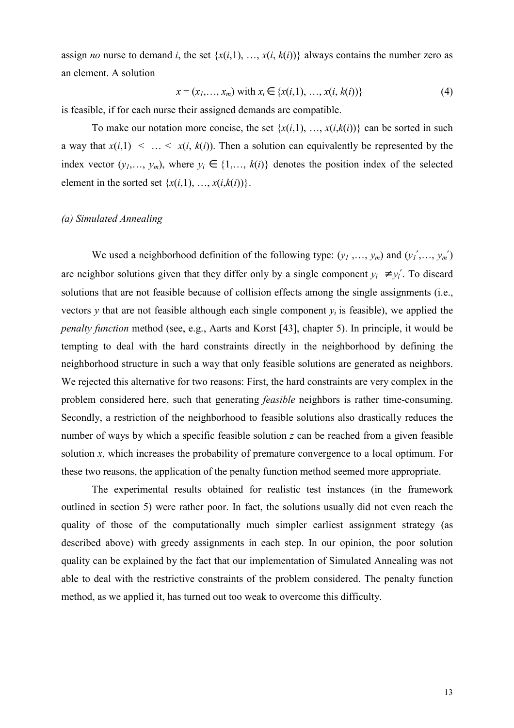assign *no* nurse to demand *i*, the set  $\{x(i,1), \ldots, x(i, k(i))\}$  always contains the number zero as an element. A solution

$$
x = (x_1, \dots, x_m) \text{ with } x_i \in \{x(i, 1), \dots, x(i, k(i))\}
$$
 (4)

is feasible, if for each nurse their assigned demands are compatible.

To make our notation more concise, the set  $\{x(i,1), \ldots, x(i,k(i))\}$  can be sorted in such a way that  $x(i,1) \leq \ldots \leq x(i, k(i))$ . Then a solution can equivalently be represented by the index vector  $(y_1, \ldots, y_m)$ , where  $y_i \in \{1, \ldots, k(i)\}\)$  denotes the position index of the selected element in the sorted set  $\{x(i,1), \ldots, x(i,k(i))\}$ .

#### *(a) Simulated Annealing*

We used a neighborhood definition of the following type:  $(y_1, \ldots, y_m)$  and  $(y_1', \ldots, y_m')$ are neighbor solutions given that they differ only by a single component  $y_i \neq y'_i$ . To discard solutions that are not feasible because of collision effects among the single assignments (i.e., vectors *y* that are not feasible although each single component  $y_i$  is feasible), we applied the *penalty function* method (see, e.g., Aarts and Korst [43], chapter 5). In principle, it would be tempting to deal with the hard constraints directly in the neighborhood by defining the neighborhood structure in such a way that only feasible solutions are generated as neighbors. We rejected this alternative for two reasons: First, the hard constraints are very complex in the problem considered here, such that generating *feasible* neighbors is rather time-consuming. Secondly, a restriction of the neighborhood to feasible solutions also drastically reduces the number of ways by which a specific feasible solution *z* can be reached from a given feasible solution *x*, which increases the probability of premature convergence to a local optimum. For these two reasons, the application of the penalty function method seemed more appropriate.

The experimental results obtained for realistic test instances (in the framework outlined in section 5) were rather poor. In fact, the solutions usually did not even reach the quality of those of the computationally much simpler earliest assignment strategy (as described above) with greedy assignments in each step. In our opinion, the poor solution quality can be explained by the fact that our implementation of Simulated Annealing was not able to deal with the restrictive constraints of the problem considered. The penalty function method, as we applied it, has turned out too weak to overcome this difficulty.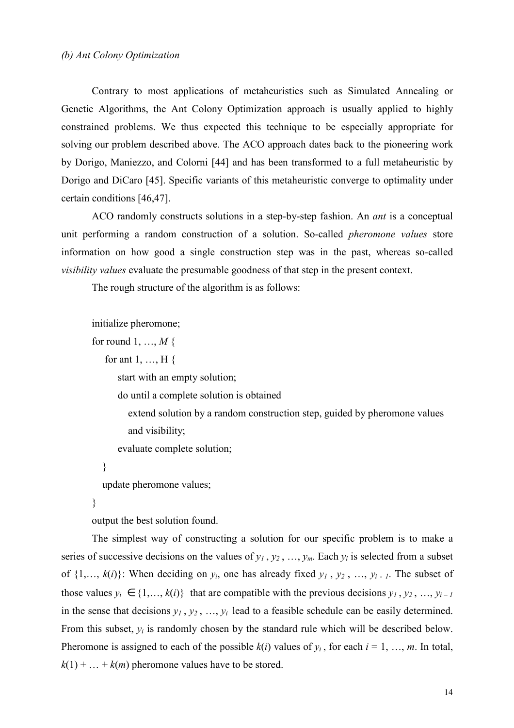## *(b) Ant Colony Optimization*

Contrary to most applications of metaheuristics such as Simulated Annealing or Genetic Algorithms, the Ant Colony Optimization approach is usually applied to highly constrained problems. We thus expected this technique to be especially appropriate for solving our problem described above. The ACO approach dates back to the pioneering work by Dorigo, Maniezzo, and Colorni [44] and has been transformed to a full metaheuristic by Dorigo and DiCaro [45]. Specific variants of this metaheuristic converge to optimality under certain conditions [46,47].

ACO randomly constructs solutions in a step-by-step fashion. An *ant* is a conceptual unit performing a random construction of a solution. So-called *pheromone values* store information on how good a single construction step was in the past, whereas so-called *visibility values* evaluate the presumable goodness of that step in the present context.

The rough structure of the algorithm is as follows:

```
initialize pheromone;
for round 1, …, M {
   for ant 1, ..., H {
       start with an empty solution;
       do until a complete solution is obtained
          extend solution by a random construction step, guided by pheromone values
          and visibility;
       evaluate complete solution;
   }
```
update pheromone values;

}

output the best solution found.

The simplest way of constructing a solution for our specific problem is to make a series of successive decisions on the values of  $y_1, y_2, ..., y_m$ . Each  $y_i$  is selected from a subset of  $\{1, \ldots, k(i)\}$ : When deciding on  $y_i$ , one has already fixed  $y_1, y_2, \ldots, y_{i-1}$ . The subset of those values  $y_i \in \{1, ..., k(i)\}$  that are compatible with the previous decisions  $y_1, y_2, ..., y_{i-1}$ in the sense that decisions  $y_1, y_2, ..., y_i$  lead to a feasible schedule can be easily determined. From this subset, *yi* is randomly chosen by the standard rule which will be described below. Pheromone is assigned to each of the possible  $k(i)$  values of  $y_i$ , for each  $i = 1, ..., m$ . In total,  $k(1) + ... + k(m)$  pheromone values have to be stored.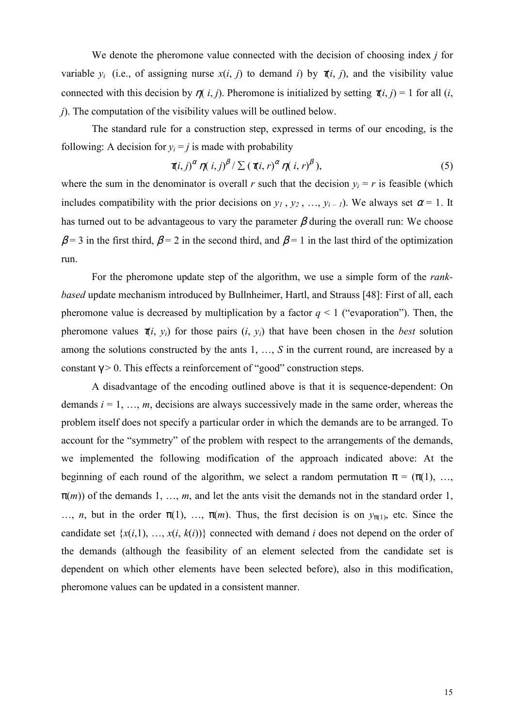We denote the pheromone value connected with the decision of choosing index *j* for variable  $y_i$  (i.e., of assigning nurse  $x(i, j)$  to demand *i*) by  $\pi(i, j)$ , and the visibility value connected with this decision by  $\eta(i, j)$ . Pheromone is initialized by setting  $\tilde{\eta}(i, j) = 1$  for all  $(i, j)$ *j*). The computation of the visibility values will be outlined below.

The standard rule for a construction step, expressed in terms of our encoding, is the following: A decision for  $y_i = j$  is made with probability

$$
\pi(i,j)^{\alpha} \eta(i,j)^{\beta} / \sum (\pi(i,r)^{\alpha} \eta(i,r)^{\beta}), \qquad (5)
$$

where the sum in the denominator is overall *r* such that the decision  $y_i = r$  is feasible (which includes compatibility with the prior decisions on  $y_1$ ,  $y_2$ , …,  $y_{i-1}$ ). We always set  $\alpha = 1$ . It has turned out to be advantageous to vary the parameter  $\beta$  during the overall run: We choose  $\beta$  = 3 in the first third,  $\beta$  = 2 in the second third, and  $\beta$  = 1 in the last third of the optimization run.

For the pheromone update step of the algorithm, we use a simple form of the *rankbased* update mechanism introduced by Bullnheimer, Hartl, and Strauss [48]: First of all, each pheromone value is decreased by multiplication by a factor  $q \leq 1$  ("evaporation"). Then, the pheromone values  $\tau(i, y_i)$  for those pairs  $(i, y_i)$  that have been chosen in the *best* solution among the solutions constructed by the ants 1, …, *S* in the current round, are increased by a constant  $\gamma > 0$ . This effects a reinforcement of "good" construction steps.

A disadvantage of the encoding outlined above is that it is sequence-dependent: On demands  $i = 1, \ldots, m$ , decisions are always successively made in the same order, whereas the problem itself does not specify a particular order in which the demands are to be arranged. To account for the "symmetry" of the problem with respect to the arrangements of the demands, we implemented the following modification of the approach indicated above: At the beginning of each round of the algorithm, we select a random permutation  $\pi = (\pi(1), \ldots, \pi(n))$  $\pi(m)$ ) of the demands 1, ..., *m*, and let the ants visit the demands not in the standard order 1, ..., *n*, but in the order  $\pi(1)$ , ...,  $\pi(m)$ . Thus, the first decision is on  $y_{\pi(1)}$ , etc. Since the candidate set  $\{x(i,1), \ldots, x(i, k(i))\}$  connected with demand *i* does not depend on the order of the demands (although the feasibility of an element selected from the candidate set is dependent on which other elements have been selected before), also in this modification, pheromone values can be updated in a consistent manner.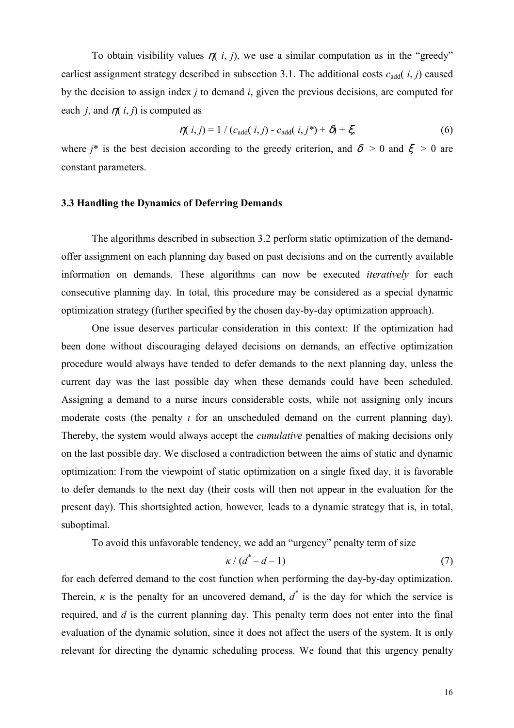To obtain visibility values  $\eta(i, j)$ , we use a similar computation as in the "greedy" earliest assignment strategy described in subsection 3.1. The additional costs  $c_{add}(i, j)$  caused by the decision to assign index *j* to demand *i*, given the previous decisions, are computed for each *i*, and  $\eta(i, j)$  is computed as

$$
\eta(i,j) = 1 / (c_{\text{add}}(i,j) - c_{\text{add}}(i,j^*) + \delta) + \xi,
$$
\n(6)

where *j*\* is the best decision according to the greedy criterion, and  $\delta > 0$  and  $\xi > 0$  are constant parameters.

## **3.3 Handling the Dynamics of Deferring Demands**

The algorithms described in subsection 3.2 perform static optimization of the demandoffer assignment on each planning day based on past decisions and on the currently available information on demands. These algorithms can now be executed *iteratively* for each consecutive planning day. In total, this procedure may be considered as a special dynamic optimization strategy (further specified by the chosen day-by-day optimization approach).

One issue deserves particular consideration in this context: If the optimization had been done without discouraging delayed decisions on demands, an effective optimization procedure would always have tended to defer demands to the next planning day, unless the current day was the last possible day when these demands could have been scheduled. Assigning a demand to a nurse incurs considerable costs, while not assigning only incurs moderate costs (the penalty *ι* for an unscheduled demand on the current planning day). Thereby, the system would always accept the *cumulative* penalties of making decisions only on the last possible day. We disclosed a contradiction between the aims of static and dynamic optimization: From the viewpoint of static optimization on a single fixed day, it is favorable to defer demands to the next day (their costs will then not appear in the evaluation for the present day). This shortsighted action*,* however*,* leads to a dynamic strategy that is, in total, suboptimal.

To avoid this unfavorable tendency, we add an "urgency" penalty term of size

$$
\kappa / (d^* - d - 1) \tag{7}
$$

for each deferred demand to the cost function when performing the day-by-day optimization. Therein,  $\kappa$  is the penalty for an uncovered demand,  $d^*$  is the day for which the service is required, and *d* is the current planning day. This penalty term does not enter into the final evaluation of the dynamic solution, since it does not affect the users of the system. It is only relevant for directing the dynamic scheduling process. We found that this urgency penalty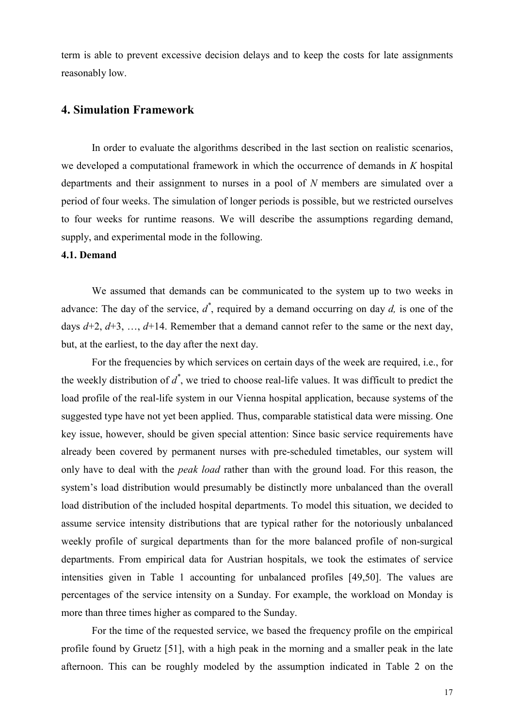term is able to prevent excessive decision delays and to keep the costs for late assignments reasonably low.

## **4. Simulation Framework**

In order to evaluate the algorithms described in the last section on realistic scenarios, we developed a computational framework in which the occurrence of demands in *K* hospital departments and their assignment to nurses in a pool of *N* members are simulated over a period of four weeks. The simulation of longer periods is possible, but we restricted ourselves to four weeks for runtime reasons. We will describe the assumptions regarding demand, supply, and experimental mode in the following.

## **4.1. Demand**

We assumed that demands can be communicated to the system up to two weeks in advance: The day of the service, *d\** , required by a demand occurring on day *d,* is one of the days  $d+2$ ,  $d+3$ , ...,  $d+14$ . Remember that a demand cannot refer to the same or the next day, but, at the earliest, to the day after the next day.

For the frequencies by which services on certain days of the week are required, i.e., for the weekly distribution of *d\** , we tried to choose real-life values. It was difficult to predict the load profile of the real-life system in our Vienna hospital application, because systems of the suggested type have not yet been applied. Thus, comparable statistical data were missing. One key issue, however, should be given special attention: Since basic service requirements have already been covered by permanent nurses with pre-scheduled timetables, our system will only have to deal with the *peak load* rather than with the ground load. For this reason, the system's load distribution would presumably be distinctly more unbalanced than the overall load distribution of the included hospital departments. To model this situation, we decided to assume service intensity distributions that are typical rather for the notoriously unbalanced weekly profile of surgical departments than for the more balanced profile of non-surgical departments. From empirical data for Austrian hospitals, we took the estimates of service intensities given in Table 1 accounting for unbalanced profiles [49,50]. The values are percentages of the service intensity on a Sunday. For example, the workload on Monday is more than three times higher as compared to the Sunday.

For the time of the requested service, we based the frequency profile on the empirical profile found by Gruetz [51], with a high peak in the morning and a smaller peak in the late afternoon. This can be roughly modeled by the assumption indicated in Table 2 on the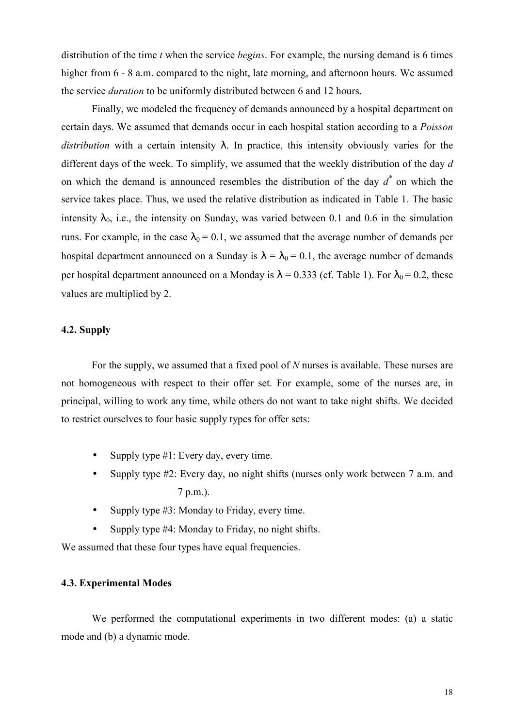distribution of the time *t* when the service *begins*. For example, the nursing demand is 6 times higher from 6 - 8 a.m. compared to the night, late morning, and afternoon hours. We assumed the service *duration* to be uniformly distributed between 6 and 12 hours.

Finally, we modeled the frequency of demands announced by a hospital department on certain days. We assumed that demands occur in each hospital station according to a *Poisson distribution* with a certain intensity λ. In practice, this intensity obviously varies for the different days of the week. To simplify, we assumed that the weekly distribution of the day *d* on which the demand is announced resembles the distribution of the day *d\** on which the service takes place. Thus, we used the relative distribution as indicated in Table 1. The basic intensity  $\lambda_0$ , i.e., the intensity on Sunday, was varied between 0.1 and 0.6 in the simulation runs. For example, in the case  $\lambda_0 = 0.1$ , we assumed that the average number of demands per hospital department announced on a Sunday is  $\lambda = \lambda_0 = 0.1$ , the average number of demands per hospital department announced on a Monday is  $\lambda = 0.333$  (cf. Table 1). For  $\lambda_0 = 0.2$ , these values are multiplied by 2.

## **4.2. Supply**

For the supply, we assumed that a fixed pool of *N* nurses is available. These nurses are not homogeneous with respect to their offer set. For example, some of the nurses are, in principal, willing to work any time, while others do not want to take night shifts. We decided to restrict ourselves to four basic supply types for offer sets:

- Supply type  $#1$ : Every day, every time.
- Supply type #2: Every day, no night shifts (nurses only work between 7 a.m. and 7 p.m.).
- Supply type #3: Monday to Friday, every time.
- Supply type #4: Monday to Friday, no night shifts.

We assumed that these four types have equal frequencies.

## **4.3. Experimental Modes**

We performed the computational experiments in two different modes: (a) a static mode and (b) a dynamic mode.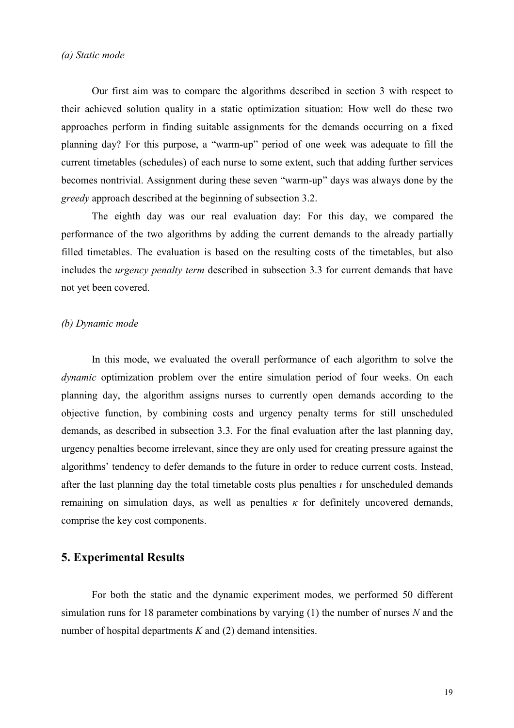Our first aim was to compare the algorithms described in section 3 with respect to their achieved solution quality in a static optimization situation: How well do these two approaches perform in finding suitable assignments for the demands occurring on a fixed planning day? For this purpose, a "warm-up" period of one week was adequate to fill the current timetables (schedules) of each nurse to some extent, such that adding further services becomes nontrivial. Assignment during these seven "warm-up" days was always done by the *greedy* approach described at the beginning of subsection 3.2.

The eighth day was our real evaluation day: For this day, we compared the performance of the two algorithms by adding the current demands to the already partially filled timetables. The evaluation is based on the resulting costs of the timetables, but also includes the *urgency penalty term* described in subsection 3.3 for current demands that have not yet been covered.

### *(b) Dynamic mode*

In this mode, we evaluated the overall performance of each algorithm to solve the *dynamic* optimization problem over the entire simulation period of four weeks. On each planning day, the algorithm assigns nurses to currently open demands according to the objective function, by combining costs and urgency penalty terms for still unscheduled demands, as described in subsection 3.3. For the final evaluation after the last planning day, urgency penalties become irrelevant, since they are only used for creating pressure against the algorithms' tendency to defer demands to the future in order to reduce current costs. Instead, after the last planning day the total timetable costs plus penalties *ι* for unscheduled demands remaining on simulation days, as well as penalties  $\kappa$  for definitely uncovered demands, comprise the key cost components.

# **5. Experimental Results**

For both the static and the dynamic experiment modes, we performed 50 different simulation runs for 18 parameter combinations by varying (1) the number of nurses *N* and the number of hospital departments *K* and (2) demand intensities.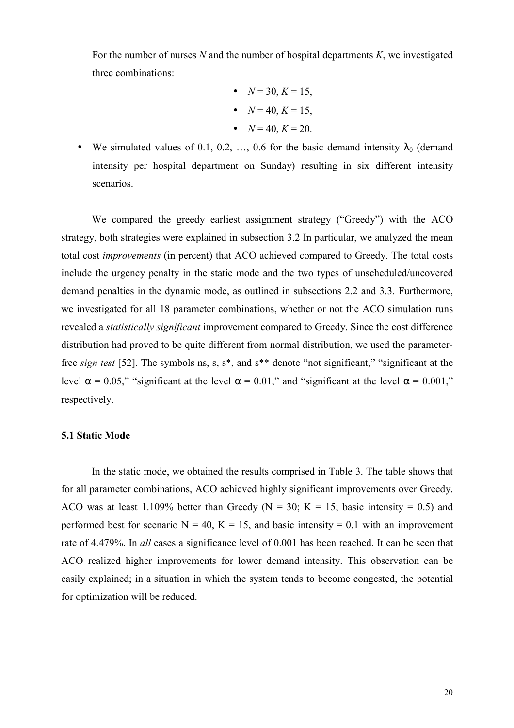For the number of nurses *N* and the number of hospital departments *K*, we investigated three combinations:

\n- $$
N = 30, K = 15,
$$
\n- $N = 40, K = 15,$
\n- $N = 40, K = 20.$
\n

• We simulated values of 0.1, 0.2, ..., 0.6 for the basic demand intensity  $\lambda_0$  (demand intensity per hospital department on Sunday) resulting in six different intensity scenarios.

We compared the greedy earliest assignment strategy ("Greedy") with the ACO strategy, both strategies were explained in subsection 3.2 In particular, we analyzed the mean total cost *improvements* (in percent) that ACO achieved compared to Greedy. The total costs include the urgency penalty in the static mode and the two types of unscheduled/uncovered demand penalties in the dynamic mode, as outlined in subsections 2.2 and 3.3. Furthermore, we investigated for all 18 parameter combinations, whether or not the ACO simulation runs revealed a *statistically significant* improvement compared to Greedy. Since the cost difference distribution had proved to be quite different from normal distribution, we used the parameterfree *sign test* [52]. The symbols ns, s, s\*, and s\*\* denote "not significant," "significant at the level  $\alpha$  = 0.05," "significant at the level  $\alpha$  = 0.01," and "significant at the level  $\alpha$  = 0.001," respectively.

#### **5.1 Static Mode**

In the static mode, we obtained the results comprised in Table 3. The table shows that for all parameter combinations, ACO achieved highly significant improvements over Greedy. ACO was at least 1.109% better than Greedy ( $N = 30$ ;  $K = 15$ ; basic intensity = 0.5) and performed best for scenario  $N = 40$ ,  $K = 15$ , and basic intensity = 0.1 with an improvement rate of 4.479%. In *all* cases a significance level of 0.001 has been reached. It can be seen that ACO realized higher improvements for lower demand intensity. This observation can be easily explained; in a situation in which the system tends to become congested, the potential for optimization will be reduced.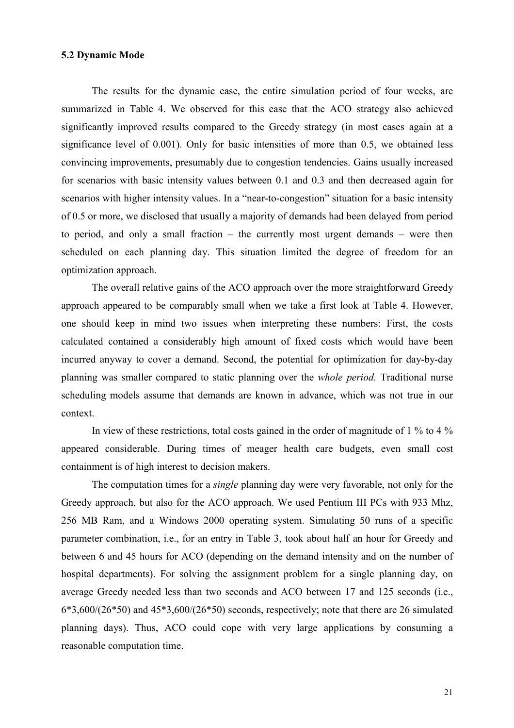#### **5.2 Dynamic Mode**

The results for the dynamic case, the entire simulation period of four weeks, are summarized in Table 4. We observed for this case that the ACO strategy also achieved significantly improved results compared to the Greedy strategy (in most cases again at a significance level of 0.001). Only for basic intensities of more than 0.5, we obtained less convincing improvements, presumably due to congestion tendencies. Gains usually increased for scenarios with basic intensity values between 0.1 and 0.3 and then decreased again for scenarios with higher intensity values. In a "near-to-congestion" situation for a basic intensity of 0.5 or more, we disclosed that usually a majority of demands had been delayed from period to period, and only a small fraction – the currently most urgent demands – were then scheduled on each planning day. This situation limited the degree of freedom for an optimization approach.

The overall relative gains of the ACO approach over the more straightforward Greedy approach appeared to be comparably small when we take a first look at Table 4. However, one should keep in mind two issues when interpreting these numbers: First, the costs calculated contained a considerably high amount of fixed costs which would have been incurred anyway to cover a demand. Second, the potential for optimization for day-by-day planning was smaller compared to static planning over the *whole period.* Traditional nurse scheduling models assume that demands are known in advance, which was not true in our context.

In view of these restrictions, total costs gained in the order of magnitude of 1 % to 4 % appeared considerable. During times of meager health care budgets, even small cost containment is of high interest to decision makers.

The computation times for a *single* planning day were very favorable, not only for the Greedy approach, but also for the ACO approach. We used Pentium III PCs with 933 Mhz, 256 MB Ram, and a Windows 2000 operating system. Simulating 50 runs of a specific parameter combination, i.e., for an entry in Table 3, took about half an hour for Greedy and between 6 and 45 hours for ACO (depending on the demand intensity and on the number of hospital departments). For solving the assignment problem for a single planning day, on average Greedy needed less than two seconds and ACO between 17 and 125 seconds (i.e.,  $6*3,600/(26*50)$  and  $45*3,600/(26*50)$  seconds, respectively; note that there are 26 simulated planning days). Thus, ACO could cope with very large applications by consuming a reasonable computation time.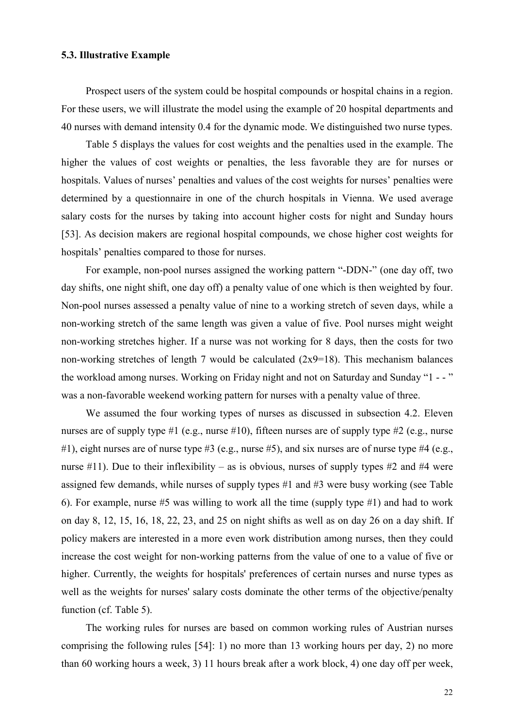#### **5.3. Illustrative Example**

Prospect users of the system could be hospital compounds or hospital chains in a region. For these users, we will illustrate the model using the example of 20 hospital departments and 40 nurses with demand intensity 0.4 for the dynamic mode. We distinguished two nurse types.

Table 5 displays the values for cost weights and the penalties used in the example. The higher the values of cost weights or penalties, the less favorable they are for nurses or hospitals. Values of nurses' penalties and values of the cost weights for nurses' penalties were determined by a questionnaire in one of the church hospitals in Vienna. We used average salary costs for the nurses by taking into account higher costs for night and Sunday hours [53]. As decision makers are regional hospital compounds, we chose higher cost weights for hospitals' penalties compared to those for nurses.

For example, non-pool nurses assigned the working pattern "-DDN-" (one day off, two day shifts, one night shift, one day off) a penalty value of one which is then weighted by four. Non-pool nurses assessed a penalty value of nine to a working stretch of seven days, while a non-working stretch of the same length was given a value of five. Pool nurses might weight non-working stretches higher. If a nurse was not working for 8 days, then the costs for two non-working stretches of length 7 would be calculated (2x9=18). This mechanism balances the workload among nurses. Working on Friday night and not on Saturday and Sunday "1 - - " was a non-favorable weekend working pattern for nurses with a penalty value of three.

We assumed the four working types of nurses as discussed in subsection 4.2. Eleven nurses are of supply type #1 (e.g., nurse #10), fifteen nurses are of supply type #2 (e.g., nurse #1), eight nurses are of nurse type #3 (e.g., nurse #5), and six nurses are of nurse type #4 (e.g., nurse  $\#11$ ). Due to their inflexibility – as is obvious, nurses of supply types  $\#2$  and  $\#4$  were assigned few demands, while nurses of supply types #1 and #3 were busy working (see Table 6). For example, nurse #5 was willing to work all the time (supply type #1) and had to work on day 8, 12, 15, 16, 18, 22, 23, and 25 on night shifts as well as on day 26 on a day shift. If policy makers are interested in a more even work distribution among nurses, then they could increase the cost weight for non-working patterns from the value of one to a value of five or higher. Currently, the weights for hospitals' preferences of certain nurses and nurse types as well as the weights for nurses' salary costs dominate the other terms of the objective/penalty function (cf. Table 5).

The working rules for nurses are based on common working rules of Austrian nurses comprising the following rules [54]: 1) no more than 13 working hours per day, 2) no more than 60 working hours a week, 3) 11 hours break after a work block, 4) one day off per week,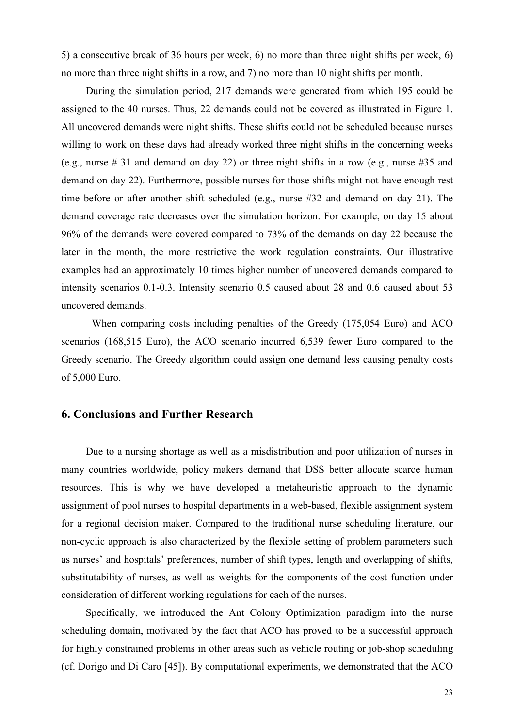5) a consecutive break of 36 hours per week, 6) no more than three night shifts per week, 6) no more than three night shifts in a row, and 7) no more than 10 night shifts per month.

During the simulation period, 217 demands were generated from which 195 could be assigned to the 40 nurses. Thus, 22 demands could not be covered as illustrated in Figure 1. All uncovered demands were night shifts. These shifts could not be scheduled because nurses willing to work on these days had already worked three night shifts in the concerning weeks (e.g., nurse # 31 and demand on day 22) or three night shifts in a row (e.g., nurse #35 and demand on day 22). Furthermore, possible nurses for those shifts might not have enough rest time before or after another shift scheduled (e.g., nurse #32 and demand on day 21). The demand coverage rate decreases over the simulation horizon. For example, on day 15 about 96% of the demands were covered compared to 73% of the demands on day 22 because the later in the month, the more restrictive the work regulation constraints. Our illustrative examples had an approximately 10 times higher number of uncovered demands compared to intensity scenarios 0.1-0.3. Intensity scenario 0.5 caused about 28 and 0.6 caused about 53 uncovered demands.

When comparing costs including penalties of the Greedy (175,054 Euro) and ACO scenarios (168,515 Euro), the ACO scenario incurred 6,539 fewer Euro compared to the Greedy scenario. The Greedy algorithm could assign one demand less causing penalty costs of 5,000 Euro.

# **6. Conclusions and Further Research**

Due to a nursing shortage as well as a misdistribution and poor utilization of nurses in many countries worldwide, policy makers demand that DSS better allocate scarce human resources. This is why we have developed a metaheuristic approach to the dynamic assignment of pool nurses to hospital departments in a web-based, flexible assignment system for a regional decision maker. Compared to the traditional nurse scheduling literature, our non-cyclic approach is also characterized by the flexible setting of problem parameters such as nurses' and hospitals' preferences, number of shift types, length and overlapping of shifts, substitutability of nurses, as well as weights for the components of the cost function under consideration of different working regulations for each of the nurses.

Specifically, we introduced the Ant Colony Optimization paradigm into the nurse scheduling domain, motivated by the fact that ACO has proved to be a successful approach for highly constrained problems in other areas such as vehicle routing or job-shop scheduling (cf. Dorigo and Di Caro [45]). By computational experiments, we demonstrated that the ACO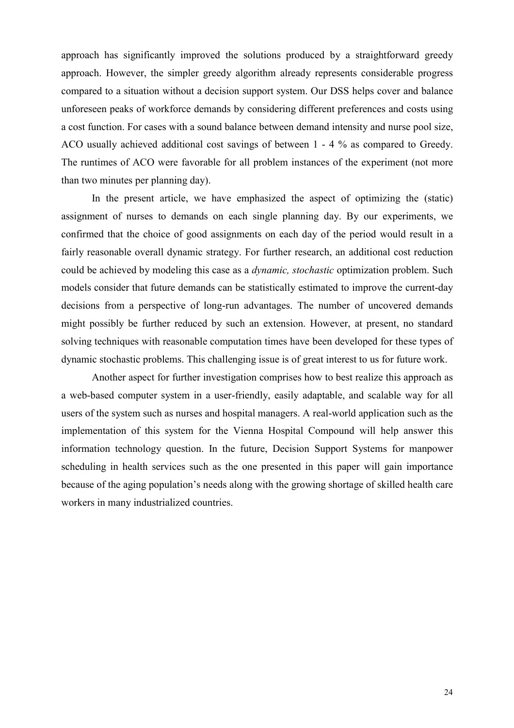approach has significantly improved the solutions produced by a straightforward greedy approach. However, the simpler greedy algorithm already represents considerable progress compared to a situation without a decision support system. Our DSS helps cover and balance unforeseen peaks of workforce demands by considering different preferences and costs using a cost function. For cases with a sound balance between demand intensity and nurse pool size, ACO usually achieved additional cost savings of between 1 - 4 % as compared to Greedy. The runtimes of ACO were favorable for all problem instances of the experiment (not more than two minutes per planning day).

In the present article, we have emphasized the aspect of optimizing the (static) assignment of nurses to demands on each single planning day. By our experiments, we confirmed that the choice of good assignments on each day of the period would result in a fairly reasonable overall dynamic strategy. For further research, an additional cost reduction could be achieved by modeling this case as a *dynamic, stochastic* optimization problem. Such models consider that future demands can be statistically estimated to improve the current-day decisions from a perspective of long-run advantages. The number of uncovered demands might possibly be further reduced by such an extension. However, at present, no standard solving techniques with reasonable computation times have been developed for these types of dynamic stochastic problems. This challenging issue is of great interest to us for future work.

Another aspect for further investigation comprises how to best realize this approach as a web-based computer system in a user-friendly, easily adaptable, and scalable way for all users of the system such as nurses and hospital managers. A real-world application such as the implementation of this system for the Vienna Hospital Compound will help answer this information technology question. In the future, Decision Support Systems for manpower scheduling in health services such as the one presented in this paper will gain importance because of the aging population's needs along with the growing shortage of skilled health care workers in many industrialized countries.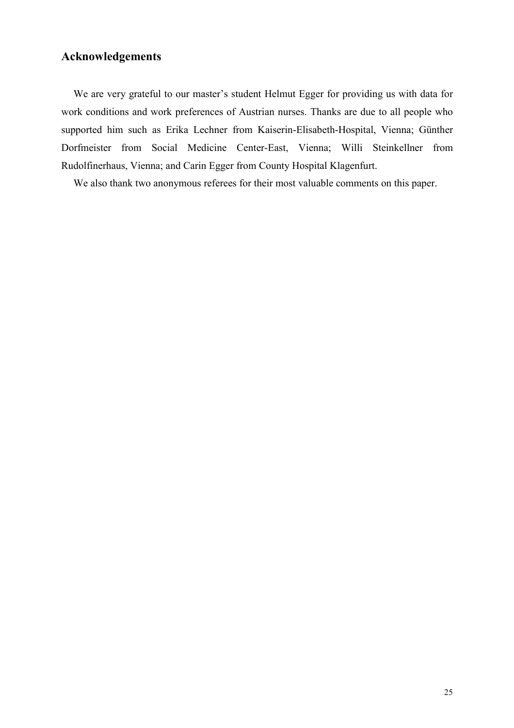# **Acknowledgements**

We are very grateful to our master's student Helmut Egger for providing us with data for work conditions and work preferences of Austrian nurses. Thanks are due to all people who supported him such as Erika Lechner from Kaiserin-Elisabeth-Hospital, Vienna; Günther Dorfmeister from Social Medicine Center-East, Vienna; Willi Steinkellner from Rudolfinerhaus, Vienna; and Carin Egger from County Hospital Klagenfurt.

We also thank two anonymous referees for their most valuable comments on this paper.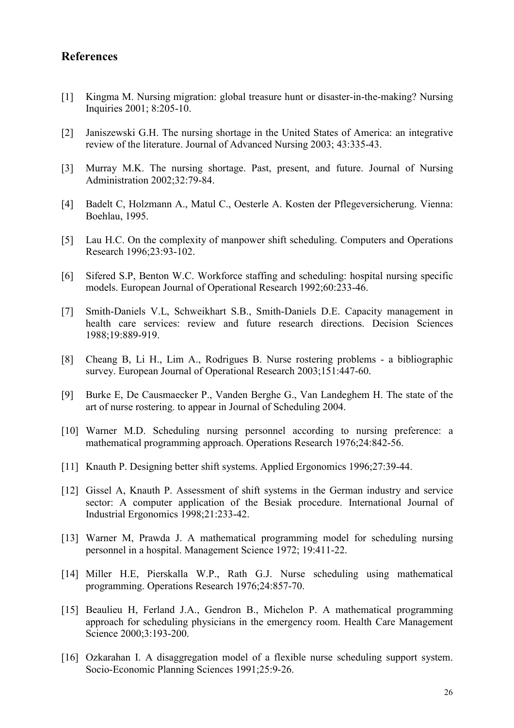# **References**

- [1] Kingma M. Nursing migration: global treasure hunt or disaster-in-the-making? Nursing Inquiries 2001; 8:205-10.
- [2] Janiszewski G.H. The nursing shortage in the United States of America: an integrative review of the literature. Journal of Advanced Nursing 2003; 43:335-43.
- [3] Murray M.K. The nursing shortage. Past, present, and future. Journal of Nursing Administration 2002;32:79-84.
- [4] Badelt C, Holzmann A., Matul C., Oesterle A. Kosten der Pflegeversicherung. Vienna: Boehlau, 1995.
- [5] Lau H.C. On the complexity of manpower shift scheduling. Computers and Operations Research 1996;23:93-102.
- [6] Sifered S.P, Benton W.C. Workforce staffing and scheduling: hospital nursing specific models. European Journal of Operational Research 1992;60:233-46.
- [7] Smith-Daniels V.L, Schweikhart S.B., Smith-Daniels D.E. Capacity management in health care services: review and future research directions. Decision Sciences 1988;19:889-919.
- [8] Cheang B, Li H., Lim A., Rodrigues B. Nurse rostering problems a bibliographic survey. European Journal of Operational Research 2003;151:447-60.
- [9] Burke E, De Causmaecker P., Vanden Berghe G., Van Landeghem H. The state of the art of nurse rostering. to appear in Journal of Scheduling 2004.
- [10] Warner M.D. Scheduling nursing personnel according to nursing preference: a mathematical programming approach. Operations Research 1976;24:842-56.
- [11] Knauth P. Designing better shift systems. Applied Ergonomics 1996;27:39-44.
- [12] Gissel A, Knauth P. Assessment of shift systems in the German industry and service sector: A computer application of the Besiak procedure. International Journal of Industrial Ergonomics 1998;21:233-42.
- [13] Warner M, Prawda J. A mathematical programming model for scheduling nursing personnel in a hospital. Management Science 1972; 19:411-22.
- [14] Miller H.E, Pierskalla W.P., Rath G.J. Nurse scheduling using mathematical programming. Operations Research 1976;24:857-70.
- [15] Beaulieu H, Ferland J.A., Gendron B., Michelon P. A mathematical programming approach for scheduling physicians in the emergency room. Health Care Management Science 2000;3:193-200.
- [16] Ozkarahan I. A disaggregation model of a flexible nurse scheduling support system. Socio-Economic Planning Sciences 1991;25:9-26.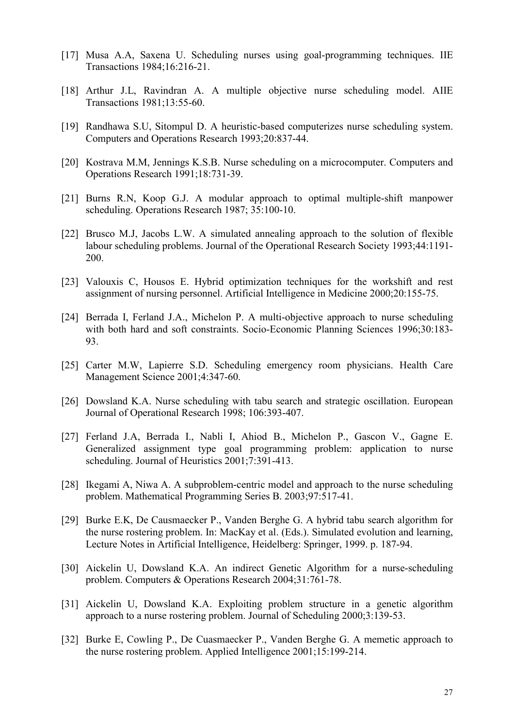- [17] Musa A.A, Saxena U. Scheduling nurses using goal-programming techniques. IIE Transactions 1984;16:216-21.
- [18] Arthur J.L, Ravindran A. A multiple objective nurse scheduling model. AIIE Transactions 1981;13:55-60.
- [19] Randhawa S.U, Sitompul D. A heuristic-based computerizes nurse scheduling system. Computers and Operations Research 1993;20:837-44.
- [20] Kostrava M.M, Jennings K.S.B. Nurse scheduling on a microcomputer. Computers and Operations Research 1991;18:731-39.
- [21] Burns R.N, Koop G.J. A modular approach to optimal multiple-shift manpower scheduling. Operations Research 1987; 35:100-10.
- [22] Brusco M.J. Jacobs L.W. A simulated annealing approach to the solution of flexible labour scheduling problems. Journal of the Operational Research Society 1993;44:1191- 200.
- [23] Valouxis C, Housos E. Hybrid optimization techniques for the workshift and rest assignment of nursing personnel. Artificial Intelligence in Medicine 2000;20:155-75.
- [24] Berrada I, Ferland J.A., Michelon P. A multi-objective approach to nurse scheduling with both hard and soft constraints. Socio-Economic Planning Sciences 1996:30:183-93.
- [25] Carter M.W, Lapierre S.D. Scheduling emergency room physicians. Health Care Management Science 2001;4:347-60.
- [26] Dowsland K.A. Nurse scheduling with tabu search and strategic oscillation. European Journal of Operational Research 1998; 106:393-407.
- [27] Ferland J.A, Berrada I., Nabli I, Ahiod B., Michelon P., Gascon V., Gagne E. Generalized assignment type goal programming problem: application to nurse scheduling. Journal of Heuristics 2001;7:391-413.
- [28] Ikegami A, Niwa A. A subproblem-centric model and approach to the nurse scheduling problem. Mathematical Programming Series B. 2003;97:517-41.
- [29] Burke E.K, De Causmaecker P., Vanden Berghe G. A hybrid tabu search algorithm for the nurse rostering problem. In: MacKay et al. (Eds.). Simulated evolution and learning, Lecture Notes in Artificial Intelligence, Heidelberg: Springer, 1999. p. 187-94.
- [30] Aickelin U, Dowsland K.A. An indirect Genetic Algorithm for a nurse-scheduling problem. Computers & Operations Research 2004;31:761-78.
- [31] Aickelin U, Dowsland K.A. Exploiting problem structure in a genetic algorithm approach to a nurse rostering problem. Journal of Scheduling 2000;3:139-53.
- [32] Burke E, Cowling P., De Cuasmaecker P., Vanden Berghe G. A memetic approach to the nurse rostering problem. Applied Intelligence 2001;15:199-214.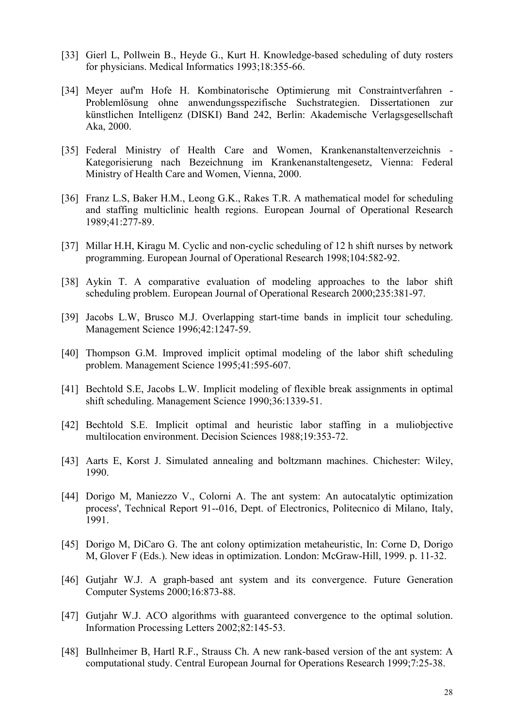- [33] Gierl L, Pollwein B., Heyde G., Kurt H. Knowledge-based scheduling of duty rosters for physicians. Medical Informatics 1993;18:355-66.
- [34] Meyer auf'm Hofe H. Kombinatorische Optimierung mit Constraintverfahren Problemlösung ohne anwendungsspezifische Suchstrategien. Dissertationen zur künstlichen Intelligenz (DISKI) Band 242, Berlin: Akademische Verlagsgesellschaft Aka, 2000.
- [35] Federal Ministry of Health Care and Women, Krankenanstaltenverzeichnis Kategorisierung nach Bezeichnung im Krankenanstaltengesetz, Vienna: Federal Ministry of Health Care and Women, Vienna, 2000.
- [36] Franz L.S, Baker H.M., Leong G.K., Rakes T.R. A mathematical model for scheduling and staffing multiclinic health regions. European Journal of Operational Research 1989;41:277-89.
- [37] Millar H.H, Kiragu M. Cyclic and non-cyclic scheduling of 12 h shift nurses by network programming. European Journal of Operational Research 1998;104:582-92.
- [38] Aykin T. A comparative evaluation of modeling approaches to the labor shift scheduling problem. European Journal of Operational Research 2000;235:381-97.
- [39] Jacobs L.W, Brusco M.J. Overlapping start-time bands in implicit tour scheduling. Management Science 1996;42:1247-59.
- [40] Thompson G.M. Improved implicit optimal modeling of the labor shift scheduling problem. Management Science 1995;41:595-607.
- [41] Bechtold S.E, Jacobs L.W. Implicit modeling of flexible break assignments in optimal shift scheduling. Management Science 1990;36:1339-51.
- [42] Bechtold S.E. Implicit optimal and heuristic labor staffing in a muliobjective multilocation environment. Decision Sciences 1988;19:353-72.
- [43] Aarts E, Korst J. Simulated annealing and boltzmann machines. Chichester: Wiley, 1990.
- [44] Dorigo M, Maniezzo V., Colorni A. The ant system: An autocatalytic optimization process', Technical Report 91--016, Dept. of Electronics, Politecnico di Milano, Italy, 1991.
- [45] Dorigo M, DiCaro G. The ant colony optimization metaheuristic, In: Corne D, Dorigo M, Glover F (Eds.). New ideas in optimization. London: McGraw-Hill, 1999. p. 11-32.
- [46] Gutjahr W.J. A graph-based ant system and its convergence. Future Generation Computer Systems 2000;16:873-88.
- [47] Gutjahr W.J. ACO algorithms with guaranteed convergence to the optimal solution. Information Processing Letters 2002;82:145-53.
- [48] Bullnheimer B, Hartl R.F., Strauss Ch. A new rank-based version of the ant system: A computational study. Central European Journal for Operations Research 1999;7:25-38.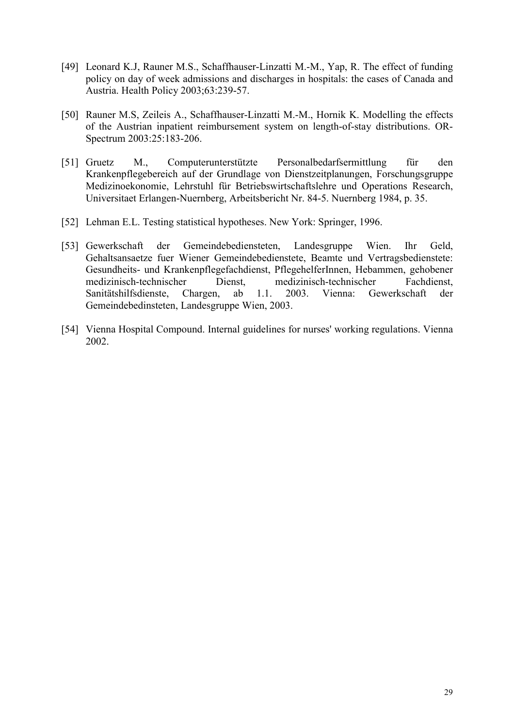- [49] Leonard K.J, Rauner M.S., Schaffhauser-Linzatti M.-M., Yap, R. The effect of funding policy on day of week admissions and discharges in hospitals: the cases of Canada and Austria. Health Policy 2003;63:239-57.
- [50] Rauner M.S, Zeileis A., Schaffhauser-Linzatti M.-M., Hornik K. Modelling the effects of the Austrian inpatient reimbursement system on length-of-stay distributions. OR-Spectrum 2003:25:183-206.
- [51] Gruetz M., Computerunterstützte Personalbedarfsermittlung für den Krankenpflegebereich auf der Grundlage von Dienstzeitplanungen, Forschungsgruppe Medizinoekonomie, Lehrstuhl für Betriebswirtschaftslehre und Operations Research, Universitaet Erlangen-Nuernberg, Arbeitsbericht Nr. 84-5. Nuernberg 1984, p. 35.
- [52] Lehman E.L. Testing statistical hypotheses. New York: Springer, 1996.
- [53] Gewerkschaft der Gemeindebediensteten, Landesgruppe Wien. Ihr Geld, Gehaltsansaetze fuer Wiener Gemeindebedienstete, Beamte und Vertragsbedienstete: Gesundheits- und Krankenpflegefachdienst, PflegehelferInnen, Hebammen, gehobener medizinisch-technischer Dienst, medizinisch-technischer Fachdienst, Sanitätshilfsdienste, Chargen, ab 1.1. 2003. Vienna: Gewerkschaft der Gemeindebedinsteten, Landesgruppe Wien, 2003.
- [54] Vienna Hospital Compound. Internal guidelines for nurses' working regulations. Vienna 2002.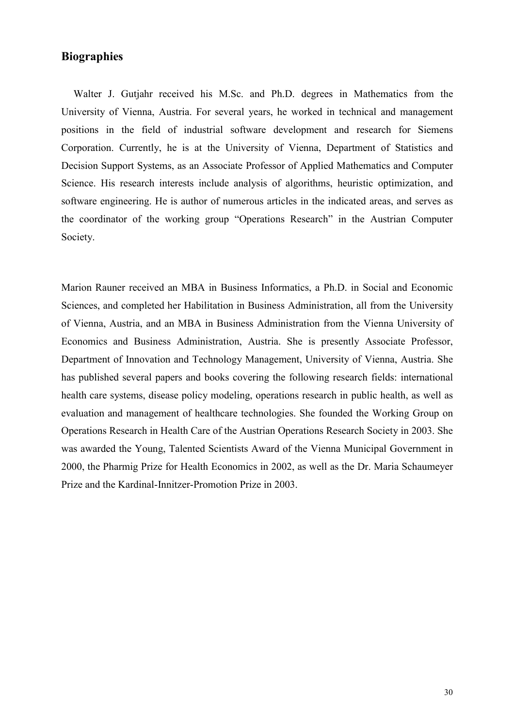## **Biographies**

Walter J. Gutjahr received his M.Sc. and Ph.D. degrees in Mathematics from the University of Vienna, Austria. For several years, he worked in technical and management positions in the field of industrial software development and research for Siemens Corporation. Currently, he is at the University of Vienna, Department of Statistics and Decision Support Systems, as an Associate Professor of Applied Mathematics and Computer Science. His research interests include analysis of algorithms, heuristic optimization, and software engineering. He is author of numerous articles in the indicated areas, and serves as the coordinator of the working group "Operations Research" in the Austrian Computer Society.

Marion Rauner received an MBA in Business Informatics, a Ph.D. in Social and Economic Sciences, and completed her Habilitation in Business Administration, all from the University of Vienna, Austria, and an MBA in Business Administration from the Vienna University of Economics and Business Administration, Austria. She is presently Associate Professor, Department of Innovation and Technology Management, University of Vienna, Austria. She has published several papers and books covering the following research fields: international health care systems, disease policy modeling, operations research in public health, as well as evaluation and management of healthcare technologies. She founded the Working Group on Operations Research in Health Care of the Austrian Operations Research Society in 2003. She was awarded the Young, Talented Scientists Award of the Vienna Municipal Government in 2000, the Pharmig Prize for Health Economics in 2002, as well as the Dr. Maria Schaumeyer Prize and the Kardinal-Innitzer-Promotion Prize in 2003.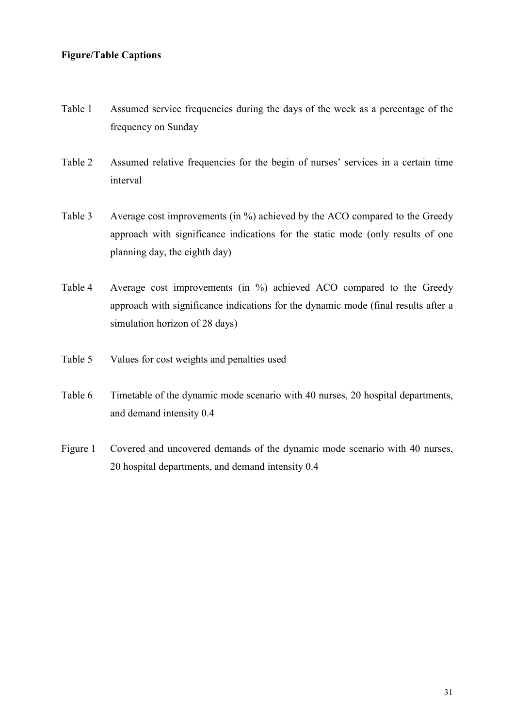## **Figure/Table Captions**

- Table 1 Assumed service frequencies during the days of the week as a percentage of the frequency on Sunday
- Table 2 Assumed relative frequencies for the begin of nurses' services in a certain time interval
- Table 3 Average cost improvements (in %) achieved by the ACO compared to the Greedy approach with significance indications for the static mode (only results of one planning day, the eighth day)
- Table 4 Average cost improvements (in %) achieved ACO compared to the Greedy approach with significance indications for the dynamic mode (final results after a simulation horizon of 28 days)
- Table 5 Values for cost weights and penalties used
- Table 6 Timetable of the dynamic mode scenario with 40 nurses, 20 hospital departments, and demand intensity 0.4
- Figure 1 Covered and uncovered demands of the dynamic mode scenario with 40 nurses, 20 hospital departments, and demand intensity 0.4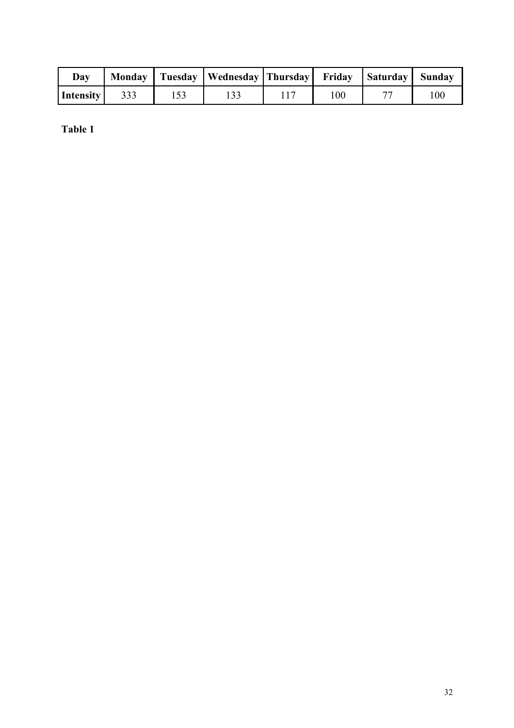| Day              |  | Monday   Tuesday   Wednesday   Thursday   Friday   Saturday   Sunday |     |     |  |  |
|------------------|--|----------------------------------------------------------------------|-----|-----|--|--|
| <b>Intensity</b> |  |                                                                      | 100 | 100 |  |  |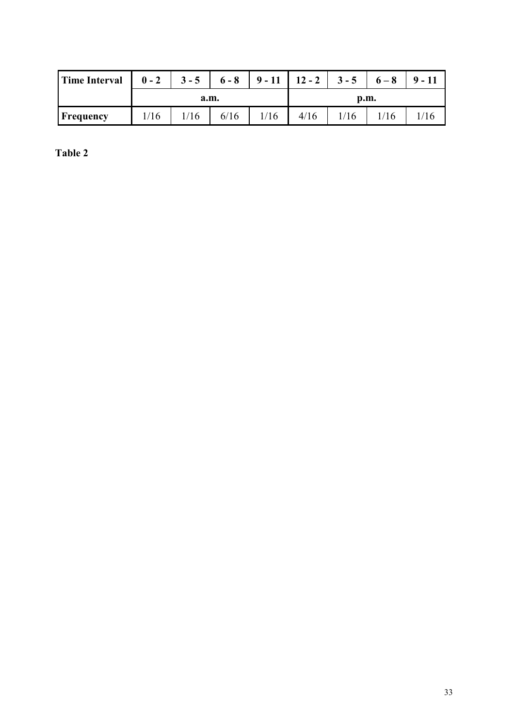| Time Interval   $0 - 2$   $3 - 5$   $6 - 8$   $9 - 11$   $12 - 2$   $3 - 5$   $6 - 8$ |      |    |      |      |      |     |  | $9 - 11$ |  |  |  |  |  |
|---------------------------------------------------------------------------------------|------|----|------|------|------|-----|--|----------|--|--|--|--|--|
|                                                                                       |      |    | a.m. |      | p.m. |     |  |          |  |  |  |  |  |
| <b>Frequency</b>                                                                      | 1/16 | 16 | 6/16 | 1/16 | 4/16 | /16 |  |          |  |  |  |  |  |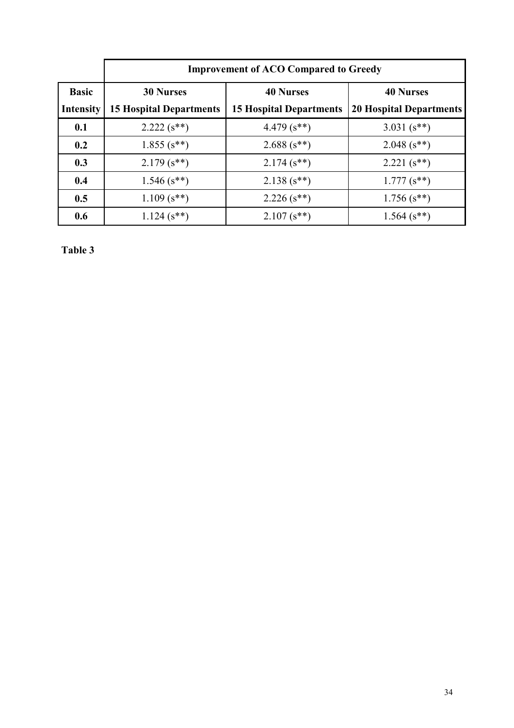|                  | <b>Improvement of ACO Compared to Greedy</b> |                                |                                |  |  |  |  |  |  |  |  |  |  |  |
|------------------|----------------------------------------------|--------------------------------|--------------------------------|--|--|--|--|--|--|--|--|--|--|--|
| <b>Basic</b>     | <b>30 Nurses</b>                             | <b>40 Nurses</b>               | <b>40 Nurses</b>               |  |  |  |  |  |  |  |  |  |  |  |
| <b>Intensity</b> | <b>15 Hospital Departments</b>               | <b>15 Hospital Departments</b> | <b>20 Hospital Departments</b> |  |  |  |  |  |  |  |  |  |  |  |
| 0.1              | $2.222(s**)$                                 | 4.479 $(s**)$                  | 3.031 $(s^{**})$               |  |  |  |  |  |  |  |  |  |  |  |
| 0.2              | $1.855$ (s <sup>**</sup> )                   | $2.688$ (s <sup>**</sup> )     | $2.048$ (s <sup>**</sup> )     |  |  |  |  |  |  |  |  |  |  |  |
| 0.3              | $2.179(s**)$                                 | $2.174$ (s <sup>**</sup> )     | $2.221$ (s <sup>**</sup> )     |  |  |  |  |  |  |  |  |  |  |  |
| 0.4              | $1.546$ (s <sup>**</sup> )                   | $2.138(s**)$                   | $1.777(s**)$                   |  |  |  |  |  |  |  |  |  |  |  |
| 0.5              | $1.109$ (s <sup>**</sup> )                   | $2.226$ (s <sup>**</sup> )     | $1.756$ (s <sup>**</sup> )     |  |  |  |  |  |  |  |  |  |  |  |
| 0.6              | $1.124$ (s <sup>**</sup> )                   | $2.107$ (s <sup>**</sup> )     | $1.564$ (s <sup>**</sup> )     |  |  |  |  |  |  |  |  |  |  |  |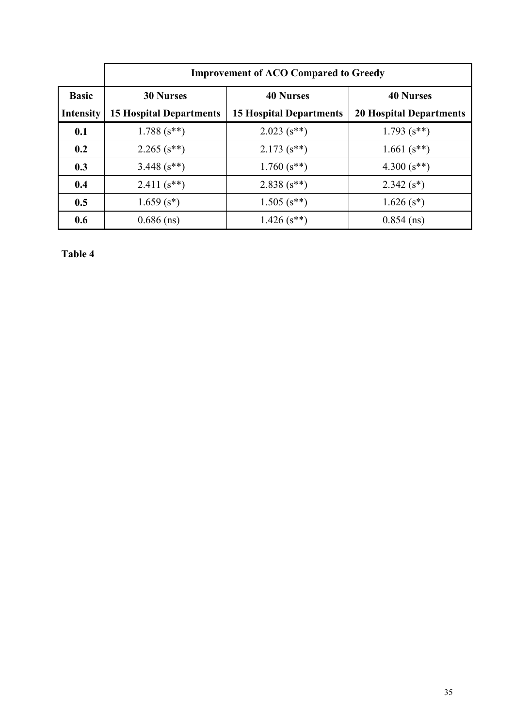|                  | <b>Improvement of ACO Compared to Greedy</b> |                                |                                |  |  |  |  |  |  |  |  |  |  |  |
|------------------|----------------------------------------------|--------------------------------|--------------------------------|--|--|--|--|--|--|--|--|--|--|--|
| <b>Basic</b>     | <b>30 Nurses</b>                             | <b>40 Nurses</b>               | <b>40 Nurses</b>               |  |  |  |  |  |  |  |  |  |  |  |
| <b>Intensity</b> | <b>15 Hospital Departments</b>               | <b>15 Hospital Departments</b> | <b>20 Hospital Departments</b> |  |  |  |  |  |  |  |  |  |  |  |
| 0.1              | $1.788$ (s <sup>**</sup> )                   | $2.023$ (s <sup>**</sup> )     | $1.793$ (s <sup>**</sup> )     |  |  |  |  |  |  |  |  |  |  |  |
| 0.2              | $2.265$ (s <sup>**</sup> )                   | $2.173$ (s <sup>**</sup> )     | $1.661$ (s <sup>**</sup> )     |  |  |  |  |  |  |  |  |  |  |  |
| 0.3              | 3.448 $(s^{**})$                             | $1.760$ (s <sup>**</sup> )     | $4.300(s**)$                   |  |  |  |  |  |  |  |  |  |  |  |
| 0.4              | 2.411 $(s^{**})$                             | $2.838(s**)$                   | $2.342(s*)$                    |  |  |  |  |  |  |  |  |  |  |  |
| 0.5              | $1.659$ (s <sup>*</sup> )                    | $1.505$ (s <sup>**</sup> )     | $1.626$ (s <sup>*</sup> )      |  |  |  |  |  |  |  |  |  |  |  |
| 0.6              | $0.686$ (ns)                                 | $1.426$ (s <sup>**</sup> )     | $0.854$ (ns)                   |  |  |  |  |  |  |  |  |  |  |  |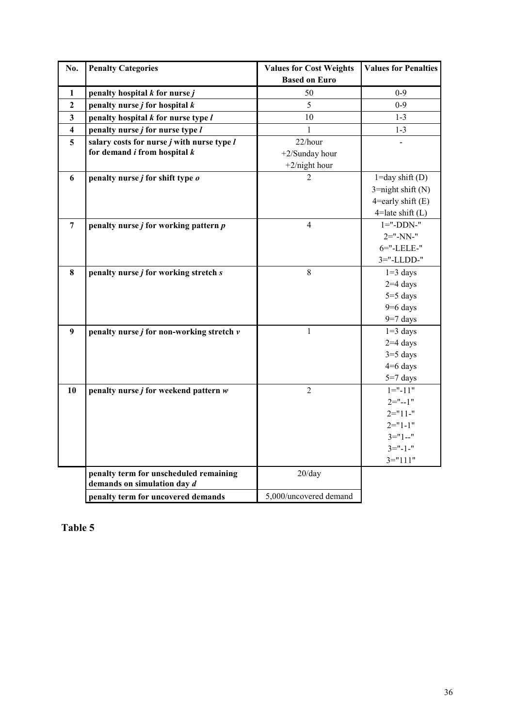| No.          | <b>Penalty Categories</b>                                             | <b>Values for Cost Weights</b><br><b>Based on Euro</b> | <b>Values for Penalties</b> |
|--------------|-----------------------------------------------------------------------|--------------------------------------------------------|-----------------------------|
| 1            | penalty hospital $k$ for nurse $j$                                    | 50                                                     | $0 - 9$                     |
| $\mathbf{2}$ | penalty nurse $j$ for hospital $k$                                    | 5                                                      | $0 - 9$                     |
| 3            | penalty hospital $k$ for nurse type $l$                               | 10                                                     | $1 - 3$                     |
| 4            | penalty nurse <i>j</i> for nurse type <i>l</i>                        | 1                                                      | $1 - 3$                     |
| 5            | salary costs for nurse $j$ with nurse type $l$                        | 22/hour                                                |                             |
|              | for demand $i$ from hospital $k$                                      | +2/Sunday hour                                         |                             |
|              |                                                                       | $+2/night$ hour                                        |                             |
| 6            | penalty nurse <i>j</i> for shift type <i>o</i>                        | $\overline{2}$                                         | $1 = day shift(D)$          |
|              |                                                                       |                                                        | $3 =$ night shift (N)       |
|              |                                                                       |                                                        | $4$ =early shift $(E)$      |
|              |                                                                       |                                                        | $4$ =late shift (L)         |
| 7            | penalty nurse $j$ for working pattern $p$                             | $\overline{4}$                                         | $1 =$ "-DDN-"               |
|              |                                                                       |                                                        | $2 =$ "-NN-"                |
|              |                                                                       |                                                        | 6="-LELE-"                  |
|              |                                                                       |                                                        | 3="-LLDD-"                  |
| 8            | penalty nurse <i>j</i> for working stretch <i>s</i>                   | 8                                                      | $1=3$ days                  |
|              |                                                                       |                                                        | $2=4$ days                  |
|              |                                                                       |                                                        | $5=5$ days                  |
|              |                                                                       |                                                        | $9=6$ days<br>$9=7$ days    |
| 9            | penalty nurse $j$ for non-working stretch $\nu$                       | $\mathbf{1}$                                           | $1=3$ days                  |
|              |                                                                       |                                                        | $2=4$ days                  |
|              |                                                                       |                                                        | $3=5$ days                  |
|              |                                                                       |                                                        | $4=6$ days                  |
|              |                                                                       |                                                        | $5=7$ days                  |
| 10           | penalty nurse $j$ for weekend pattern $w$                             | $\overline{2}$                                         | $1 = "$ -11"                |
|              |                                                                       |                                                        | $2 = -1$ "                  |
|              |                                                                       |                                                        | $2 = 11 -$                  |
|              |                                                                       |                                                        | $2 = 1 - 1$ "               |
|              |                                                                       |                                                        | $3="1-.$ "                  |
|              |                                                                       |                                                        | $3 = -1$                    |
|              |                                                                       |                                                        | $3 = 111$ "                 |
|              | penalty term for unscheduled remaining<br>demands on simulation day d | 20/day                                                 |                             |
|              | penalty term for uncovered demands                                    | 5,000/uncovered demand                                 |                             |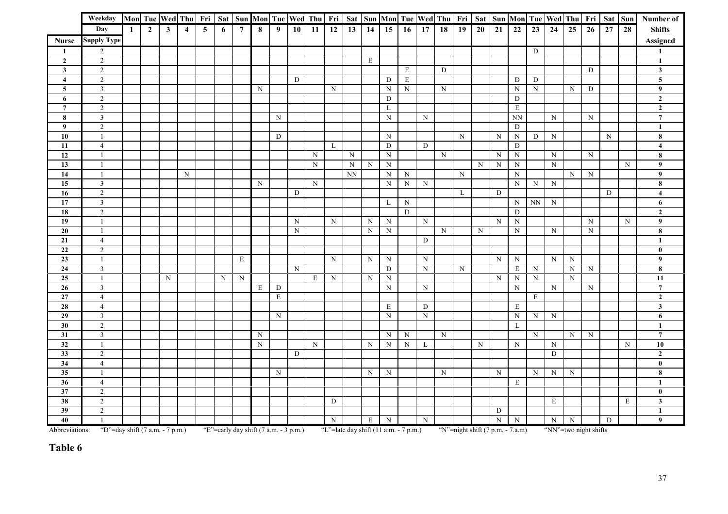|                                    | Weekday                           |              | Mon Tue  Wed   Thu   Fri   Sat   Sun   Mon   Tue   Wed   Thu   Fri   Sat   Sun   Mon   Tue   Wed   Thu   Fri   Sat   Sun   Mon   Tue   Wed   Thu   Fri   Sat   Sun |              |                |   |   |                |                                         |                  |             |             |             |                                         |           |                         |                  |              |                       |                       |             |             |                                    |                            |                       |              |                       |             |             | Number of               |
|------------------------------------|-----------------------------------|--------------|--------------------------------------------------------------------------------------------------------------------------------------------------------------------|--------------|----------------|---|---|----------------|-----------------------------------------|------------------|-------------|-------------|-------------|-----------------------------------------|-----------|-------------------------|------------------|--------------|-----------------------|-----------------------|-------------|-------------|------------------------------------|----------------------------|-----------------------|--------------|-----------------------|-------------|-------------|-------------------------|
|                                    | Day                               | $\mathbf{1}$ | $\overline{2}$                                                                                                                                                     | $\mathbf{3}$ | $\overline{4}$ | 5 | 6 | $\overline{7}$ | 8                                       | $\boldsymbol{9}$ | 10          | 11          | 12          | 13                                      | 14        | 15                      | 16               | 17           | 18                    | 19                    | 20          | 21          | 22                                 | 23                         | 24                    | 25           | 26                    | 27          | 28          | <b>Shifts</b>           |
| <b>Nurse</b>                       | <b>Supply Type</b>                |              |                                                                                                                                                                    |              |                |   |   |                |                                         |                  |             |             |             |                                         |           |                         |                  |              |                       |                       |             |             |                                    |                            |                       |              |                       |             |             | Assigned                |
| $\mathbf{1}$                       | $\overline{2}$                    |              |                                                                                                                                                                    |              |                |   |   |                |                                         |                  |             |             |             |                                         |           |                         |                  |              |                       |                       |             |             |                                    | D                          |                       |              |                       |             |             | $\mathbf{1}$            |
| $\mathbf{2}$                       | $\overline{2}$                    |              |                                                                                                                                                                    |              |                |   |   |                |                                         |                  |             |             |             |                                         | E         |                         |                  |              |                       |                       |             |             |                                    |                            |                       |              |                       |             |             | $\mathbf{1}$            |
| $\mathbf{3}$                       | $\sqrt{2}$                        |              |                                                                                                                                                                    |              |                |   |   |                |                                         |                  |             |             |             |                                         |           |                         | E                |              | D                     |                       |             |             |                                    |                            |                       |              | D                     |             |             | $\mathbf{3}$            |
| $\overline{4}$                     | $\overline{2}$                    |              |                                                                                                                                                                    |              |                |   |   |                |                                         |                  | D           |             |             |                                         |           | D                       | E                |              |                       |                       |             |             | D                                  | D                          |                       |              |                       |             |             | $\overline{\mathbf{5}}$ |
| $5\phantom{.0}$                    | $\overline{\mathbf{3}}$           |              |                                                                                                                                                                    |              |                |   |   |                | N                                       |                  |             |             | N           |                                         |           | N                       | N                |              | $\overline{\text{N}}$ |                       |             |             | N                                  | $\overline{\text{N}}$      |                       | N            | D                     |             |             | $\boldsymbol{9}$        |
| 6                                  | $\overline{2}$                    |              |                                                                                                                                                                    |              |                |   |   |                |                                         |                  |             |             |             |                                         |           | D                       |                  |              |                       |                       |             |             | D                                  |                            |                       |              |                       |             |             | $\mathbf{2}$            |
| $\overline{7}$                     | $\overline{2}$                    |              |                                                                                                                                                                    |              |                |   |   |                |                                         |                  |             |             |             |                                         |           | L                       |                  |              |                       |                       |             |             | $\mathbf E$                        |                            |                       |              |                       |             |             | $\overline{2}$          |
| $\pmb{8}$                          | $\mathfrak{Z}$                    |              |                                                                                                                                                                    |              |                |   |   |                |                                         | $\mathbf N$      |             |             |             |                                         |           | ${\bf N}$               |                  | $\, {\bf N}$ |                       |                       |             |             | $\rm NN$                           |                            | $\mathbf N$           |              | $\mathbf N$           |             |             | $7\overline{ }$         |
| 9                                  | $\boldsymbol{2}$                  |              |                                                                                                                                                                    |              |                |   |   |                |                                         |                  |             |             |             |                                         |           |                         |                  |              |                       |                       |             |             | D                                  |                            |                       |              |                       |             |             | $\mathbf{1}$            |
| 10                                 | $\mathbf{1}$                      |              |                                                                                                                                                                    |              |                |   |   |                |                                         | D                |             |             |             |                                         |           | N                       |                  |              |                       | $\mathbf N$           |             | $\mathbf N$ | $\mathbf N$                        | $\mathbf{D}$               | $\mathbf N$           |              |                       | $\mathbf N$ |             | $\pmb{8}$               |
| $\overline{11}$                    | $\overline{4}$                    |              |                                                                                                                                                                    |              |                |   |   |                |                                         |                  |             |             | L           |                                         |           | D                       |                  | D            |                       |                       |             |             | $\mathbf D$                        |                            |                       |              |                       |             |             | $\overline{\mathbf{4}}$ |
| $\overline{12}$                    | $\mathbf{1}$                      |              |                                                                                                                                                                    |              |                |   |   |                |                                         |                  |             | $\mathbf N$ |             | $\mathbf N$                             |           | $\mathbf N$             |                  |              | $\mathbf N$           |                       |             | $\mathbf N$ | $\mathbf N$                        |                            | $\mathbf N$           |              | $\mathbf N$           |             |             | 8                       |
| $\overline{13}$                    | 1                                 |              |                                                                                                                                                                    |              |                |   |   |                |                                         |                  |             | $\mathbf N$ |             | $\, {\bf N}$                            | N         | N                       |                  |              |                       |                       | $\mathbf N$ | ${\bf N}$   | N                                  |                            | N                     |              |                       |             | $\mathbf N$ | 9                       |
| $\overline{14}$                    | $\mathbf{1}$                      |              |                                                                                                                                                                    |              | ${\bf N}$      |   |   |                |                                         |                  |             |             |             | <b>NN</b>                               |           | $\ensuremath{\text{N}}$ | $\mathbf N$      |              |                       | $\overline{\text{N}}$ |             |             | $\mathbf N$                        |                            |                       | $\mathbf N$  | $\overline{\text{N}}$ |             |             | $\boldsymbol{9}$        |
| 15                                 | $\mathfrak{Z}$                    |              |                                                                                                                                                                    |              |                |   |   |                | $\mathbf N$                             |                  |             | $\mathbf N$ |             |                                         |           | $\mathbf N$             | $\mathbf N$      | $\, {\bf N}$ |                       |                       |             |             | $\mathbf N$                        | ${\bf N}$                  | $\, {\bf N}$          |              |                       |             |             | 8                       |
| 16                                 | $\sqrt{2}$                        |              |                                                                                                                                                                    |              |                |   |   |                |                                         |                  | D           |             |             |                                         |           |                         |                  |              |                       | L                     |             | D           |                                    |                            |                       |              |                       | D           |             | $\overline{4}$          |
| $\overline{17}$<br>$\overline{18}$ | $\mathfrak{Z}$                    |              |                                                                                                                                                                    |              |                |   |   |                |                                         |                  |             |             |             |                                         |           | L                       | $\mathbf N$<br>D |              |                       |                       |             |             | N<br>D                             | $\mathop{\rm NN}\nolimits$ | $\, {\bf N}$          |              |                       |             |             | $\boldsymbol{6}$        |
| 19                                 | $\sqrt{2}$<br>$\mathbf{1}$        |              |                                                                                                                                                                    |              |                |   |   |                |                                         |                  | $\mathbf N$ |             | N           |                                         |           | $\mathbf N$             |                  | $\mathbf N$  |                       |                       |             | $\mathbf N$ | N                                  |                            |                       |              | N                     |             | $\mathbf N$ | $\mathbf 2$<br>9        |
| $\overline{20}$                    | $\mathbf{1}$                      |              |                                                                                                                                                                    |              |                |   |   |                |                                         |                  | $\mathbf N$ |             |             |                                         | N<br>N    | $\mathbf N$             |                  |              | $\mathbf N$           |                       | $\mathbf N$ |             | $\mathbf N$                        |                            | N                     |              | N                     |             |             | $\pmb{8}$               |
| 21                                 | $\overline{4}$                    |              |                                                                                                                                                                    |              |                |   |   |                |                                         |                  |             |             |             |                                         |           |                         |                  | D            |                       |                       |             |             |                                    |                            |                       |              |                       |             |             | $\mathbf{1}$            |
| 22                                 | $\sqrt{2}$                        |              |                                                                                                                                                                    |              |                |   |   |                |                                         |                  |             |             |             |                                         |           |                         |                  |              |                       |                       |             |             |                                    |                            |                       |              |                       |             |             | $\bf{0}$                |
| $\overline{23}$                    | $\mathbf{1}$                      |              |                                                                                                                                                                    |              |                |   |   | E              |                                         |                  |             |             | $\mathbf N$ |                                         | $N_{\rm}$ | N                       |                  | $\mathbf N$  |                       |                       |             | $\mathbf N$ | $\mathbf N$                        |                            | N                     | $\mathbf N$  |                       |             |             | $\boldsymbol{9}$        |
| $\overline{24}$                    | $\mathfrak{Z}$                    |              |                                                                                                                                                                    |              |                |   |   |                |                                         |                  | $\mathbf N$ |             |             |                                         |           | D                       |                  | ${\bf N}$    |                       | $\mathbf N$           |             |             | $\mathbf E$                        | $\mathbf N$                |                       | $\mathbf N$  | $\mathbf N$           |             |             | $\pmb{8}$               |
| 25                                 | $\mathbf{1}$                      |              |                                                                                                                                                                    | $\mathbf N$  |                |   | N | N              |                                         |                  |             | E           | N           |                                         | N         | N                       |                  |              |                       |                       |             | $\mathbf N$ | $\mathbf N$                        | $\mathbf N$                |                       | $\mathbf N$  |                       |             |             | $11\,$                  |
| 26                                 | $\overline{3}$                    |              |                                                                                                                                                                    |              |                |   |   |                | E                                       | D                |             |             |             |                                         |           | ${\bf N}$               |                  | $\mathbf N$  |                       |                       |             |             | $\mathbf N$                        |                            | $\mathbf N$           |              | ${\bf N}$             |             |             | $\overline{7}$          |
| $\bf 27$                           | $\overline{4}$                    |              |                                                                                                                                                                    |              |                |   |   |                |                                         | $\mathbf E$      |             |             |             |                                         |           |                         |                  |              |                       |                       |             |             |                                    | E                          |                       |              |                       |             |             | $\mathbf{2}$            |
| $\overline{28}$                    | $\overline{4}$                    |              |                                                                                                                                                                    |              |                |   |   |                |                                         |                  |             |             |             |                                         |           | E                       |                  | D            |                       |                       |             |             | E                                  |                            |                       |              |                       |             |             | $\mathbf{3}$            |
| 29                                 | $\mathfrak{Z}$                    |              |                                                                                                                                                                    |              |                |   |   |                |                                         | N                |             |             |             |                                         |           | N                       |                  | $\mathbf N$  |                       |                       |             |             | $\mathbf N$                        | $\mathbf N$                | $\mathbf N$           |              |                       |             |             | $\boldsymbol{6}$        |
| 30                                 | $\sqrt{2}$                        |              |                                                                                                                                                                    |              |                |   |   |                |                                         |                  |             |             |             |                                         |           |                         |                  |              |                       |                       |             |             | L                                  |                            |                       |              |                       |             |             | $\mathbf{1}$            |
| 31                                 | 3                                 |              |                                                                                                                                                                    |              |                |   |   |                | $\mathbf N$                             |                  |             |             |             |                                         |           | N                       | N                |              | N                     |                       |             |             |                                    | N                          |                       | N            | N                     |             |             | $\overline{7}$          |
| $\overline{32}$                    | $\mathbf{1}$                      |              |                                                                                                                                                                    |              |                |   |   |                | $\mathbf N$                             |                  |             | $\mathbf N$ |             |                                         | N         | N                       | N                | $\mathbf{L}$ |                       |                       | N           |             | $_{\rm N}$                         |                            | $\mathbf N$           |              |                       |             | $\mathbf N$ | $\overline{10}$         |
| 33                                 | $\overline{2}$                    |              |                                                                                                                                                                    |              |                |   |   |                |                                         |                  | D           |             |             |                                         |           |                         |                  |              |                       |                       |             |             |                                    |                            | D                     |              |                       |             |             | $\overline{2}$          |
| 34                                 | $\overline{4}$                    |              |                                                                                                                                                                    |              |                |   |   |                |                                         |                  |             |             |             |                                         |           |                         |                  |              |                       |                       |             |             |                                    |                            |                       |              |                       |             |             | $\pmb{0}$               |
| $\overline{35}$                    | $\mathbf{1}$                      |              |                                                                                                                                                                    |              |                |   |   |                |                                         | $\mathbf N$      |             |             |             |                                         | N         | N                       |                  |              | $\mathbf N$           |                       |             | N           |                                    | $\mathbf N$                | N                     | $\mathbf N$  |                       |             |             | $\pmb{8}$               |
| 36                                 | $\overline{4}$                    |              |                                                                                                                                                                    |              |                |   |   |                |                                         |                  |             |             |             |                                         |           |                         |                  |              |                       |                       |             |             | $\mathbf E$                        |                            |                       |              |                       |             |             | $\mathbf{1}$            |
| 37                                 | $\sqrt{2}$                        |              |                                                                                                                                                                    |              |                |   |   |                |                                         |                  |             |             |             |                                         |           |                         |                  |              |                       |                       |             |             |                                    |                            |                       |              |                       |             |             | $\bf{0}$                |
| 38                                 | $\sqrt{2}$                        |              |                                                                                                                                                                    |              |                |   |   |                |                                         |                  |             |             | D           |                                         |           |                         |                  |              |                       |                       |             |             |                                    |                            | E                     |              |                       |             | E           | $\mathbf{3}$            |
| $\overline{39}$                    | $\sqrt{2}$                        |              |                                                                                                                                                                    |              |                |   |   |                |                                         |                  |             |             |             |                                         |           |                         |                  |              |                       |                       |             | D           |                                    |                            |                       |              |                       |             |             | $\mathbf{1}$            |
| 40                                 | $\mathbf{1}$                      |              |                                                                                                                                                                    |              |                |   |   |                |                                         |                  |             |             | $\mathbf N$ |                                         | E         | $\ensuremath{\text{N}}$ |                  | $N_{\rm}$    |                       |                       |             | ${\bf N}$   | $\overline{\text{N}}$              |                            | ${\bf N}$             | $\, {\bf N}$ |                       | D           |             | $\boldsymbol{9}$        |
| Abbreviations:                     | "D"=day shift $(7 a.m. - 7 p.m.)$ |              |                                                                                                                                                                    |              |                |   |   |                | "E"=early day shift $(7 a.m. - 3 p.m.)$ |                  |             |             |             | "L"=late day shift $(11 a.m. - 7 p.m.)$ |           |                         |                  |              |                       |                       |             |             | "N"=night shift $(7 p.m. - 7.a.m)$ |                            | "NN"=two night shifts |              |                       |             |             |                         |